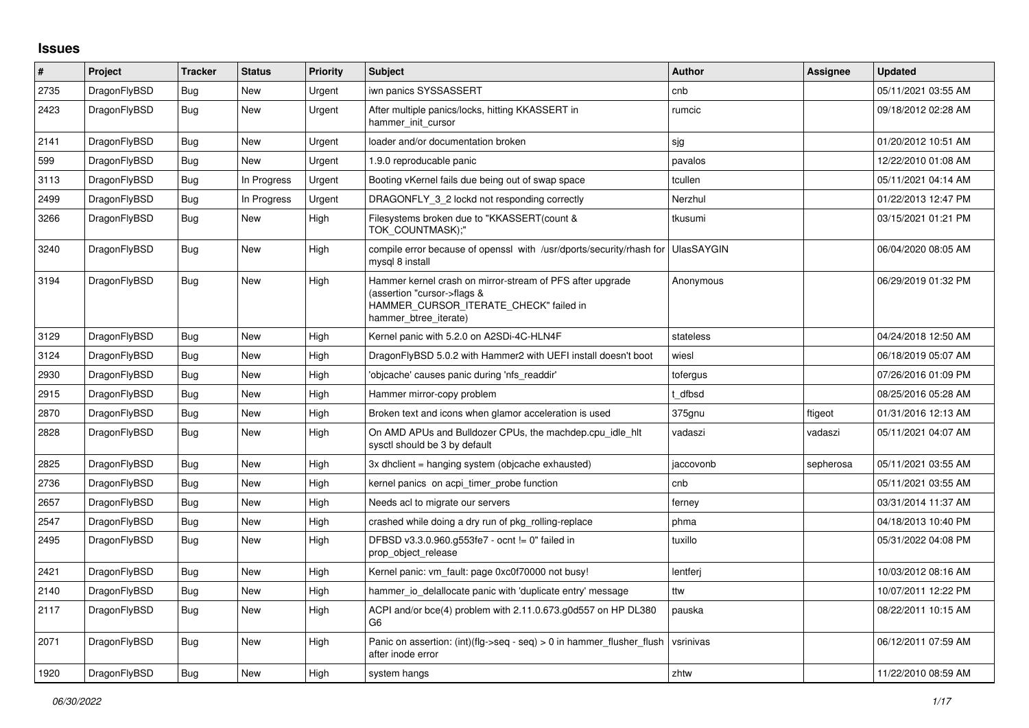## **Issues**

| #    | Project      | <b>Tracker</b> | <b>Status</b> | <b>Priority</b> | <b>Subject</b>                                                                                                                                              | Author            | <b>Assignee</b> | <b>Updated</b>      |
|------|--------------|----------------|---------------|-----------------|-------------------------------------------------------------------------------------------------------------------------------------------------------------|-------------------|-----------------|---------------------|
| 2735 | DragonFlyBSD | Bug            | New           | Urgent          | iwn panics SYSSASSERT                                                                                                                                       | cnb               |                 | 05/11/2021 03:55 AM |
| 2423 | DragonFlyBSD | <b>Bug</b>     | <b>New</b>    | Urgent          | After multiple panics/locks, hitting KKASSERT in<br>hammer init cursor                                                                                      | rumcic            |                 | 09/18/2012 02:28 AM |
| 2141 | DragonFlyBSD | Bug            | New           | Urgent          | loader and/or documentation broken                                                                                                                          | sjg               |                 | 01/20/2012 10:51 AM |
| 599  | DragonFlyBSD | Bug            | New           | Urgent          | 1.9.0 reproducable panic                                                                                                                                    | pavalos           |                 | 12/22/2010 01:08 AM |
| 3113 | DragonFlyBSD | <b>Bug</b>     | In Progress   | Urgent          | Booting vKernel fails due being out of swap space                                                                                                           | tcullen           |                 | 05/11/2021 04:14 AM |
| 2499 | DragonFlyBSD | <b>Bug</b>     | In Progress   | Urgent          | DRAGONFLY_3_2 lockd not responding correctly                                                                                                                | Nerzhul           |                 | 01/22/2013 12:47 PM |
| 3266 | DragonFlyBSD | Bug            | New           | High            | Filesystems broken due to "KKASSERT(count &<br>TOK COUNTMASK);"                                                                                             | tkusumi           |                 | 03/15/2021 01:21 PM |
| 3240 | DragonFlyBSD | Bug            | New           | High            | compile error because of openssl with /usr/dports/security/rhash for<br>mysql 8 install                                                                     | <b>UlasSAYGIN</b> |                 | 06/04/2020 08:05 AM |
| 3194 | DragonFlyBSD | Bug            | <b>New</b>    | High            | Hammer kernel crash on mirror-stream of PFS after upgrade<br>(assertion "cursor->flags &<br>HAMMER_CURSOR_ITERATE_CHECK" failed in<br>hammer btree iterate) | Anonymous         |                 | 06/29/2019 01:32 PM |
| 3129 | DragonFlyBSD | Bug            | <b>New</b>    | High            | Kernel panic with 5.2.0 on A2SDi-4C-HLN4F                                                                                                                   | stateless         |                 | 04/24/2018 12:50 AM |
| 3124 | DragonFlyBSD | <b>Bug</b>     | <b>New</b>    | High            | DragonFlyBSD 5.0.2 with Hammer2 with UEFI install doesn't boot                                                                                              | wiesl             |                 | 06/18/2019 05:07 AM |
| 2930 | DragonFlyBSD | Bug            | New           | High            | 'objcache' causes panic during 'nfs readdir'                                                                                                                | tofergus          |                 | 07/26/2016 01:09 PM |
| 2915 | DragonFlyBSD | <b>Bug</b>     | <b>New</b>    | High            | Hammer mirror-copy problem                                                                                                                                  | t dfbsd           |                 | 08/25/2016 05:28 AM |
| 2870 | DragonFlyBSD | <b>Bug</b>     | New           | High            | Broken text and icons when glamor acceleration is used                                                                                                      | 375gnu            | ftigeot         | 01/31/2016 12:13 AM |
| 2828 | DragonFlyBSD | Bug            | New           | High            | On AMD APUs and Bulldozer CPUs, the machdep.cpu idle hit<br>sysctl should be 3 by default                                                                   | vadaszi           | vadaszi         | 05/11/2021 04:07 AM |
| 2825 | DragonFlyBSD | Bug            | New           | High            | 3x dhclient = hanging system (objcache exhausted)                                                                                                           | jaccovonb         | sepherosa       | 05/11/2021 03:55 AM |
| 2736 | DragonFlyBSD | Bug            | New           | High            | kernel panics on acpi timer probe function                                                                                                                  | cnb               |                 | 05/11/2021 03:55 AM |
| 2657 | DragonFlyBSD | Bug            | New           | High            | Needs acl to migrate our servers                                                                                                                            | ferney            |                 | 03/31/2014 11:37 AM |
| 2547 | DragonFlyBSD | Bug            | New           | High            | crashed while doing a dry run of pkg rolling-replace                                                                                                        | phma              |                 | 04/18/2013 10:40 PM |
| 2495 | DragonFlyBSD | Bug            | New           | High            | DFBSD v3.3.0.960.g553fe7 - ocnt != 0" failed in<br>prop object release                                                                                      | tuxillo           |                 | 05/31/2022 04:08 PM |
| 2421 | DragonFlyBSD | Bug            | <b>New</b>    | High            | Kernel panic: vm_fault: page 0xc0f70000 not busy!                                                                                                           | lentferj          |                 | 10/03/2012 08:16 AM |
| 2140 | DragonFlyBSD | Bug            | New           | High            | hammer io delallocate panic with 'duplicate entry' message                                                                                                  | ttw               |                 | 10/07/2011 12:22 PM |
| 2117 | DragonFlyBSD | Bug            | New           | High            | ACPI and/or bce(4) problem with 2.11.0.673.g0d557 on HP DL380<br>G6                                                                                         | pauska            |                 | 08/22/2011 10:15 AM |
| 2071 | DragonFlyBSD | <b>Bug</b>     | <b>New</b>    | High            | Panic on assertion: $(int)(flag->seq - seq) > 0$ in hammer flusher flush<br>after inode error                                                               | vsrinivas         |                 | 06/12/2011 07:59 AM |
| 1920 | DragonFlyBSD | Bug            | New           | High            | system hangs                                                                                                                                                | zhtw              |                 | 11/22/2010 08:59 AM |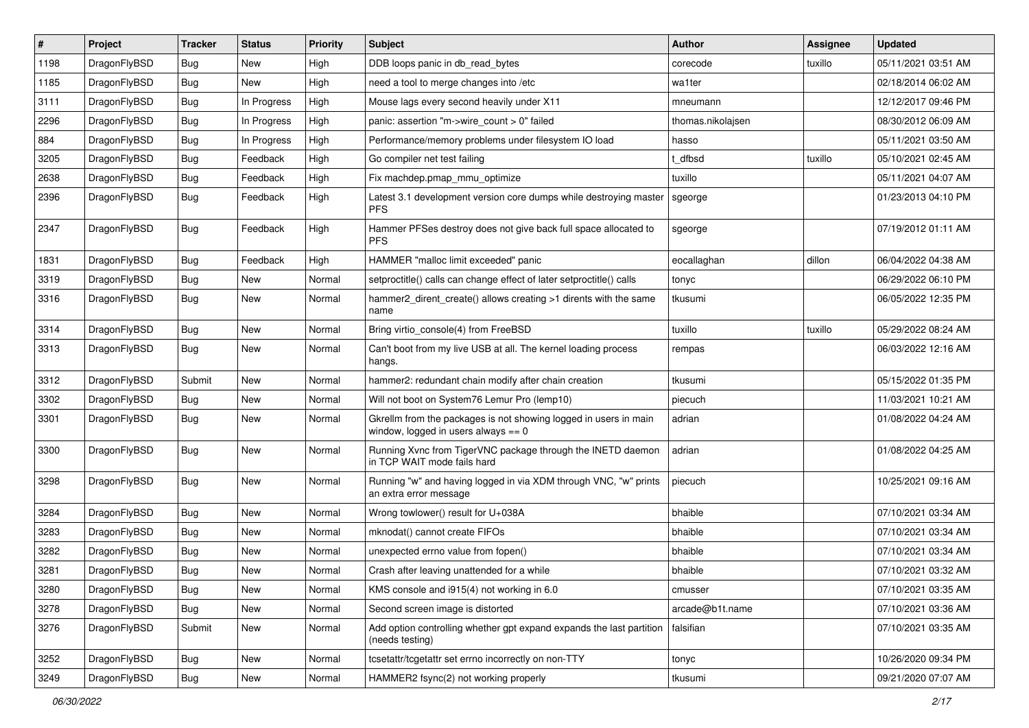| $\vert$ # | Project      | <b>Tracker</b> | <b>Status</b> | <b>Priority</b> | Subject                                                                                                   | <b>Author</b>     | Assignee | <b>Updated</b>      |
|-----------|--------------|----------------|---------------|-----------------|-----------------------------------------------------------------------------------------------------------|-------------------|----------|---------------------|
| 1198      | DragonFlyBSD | <b>Bug</b>     | New           | High            | DDB loops panic in db_read_bytes                                                                          | corecode          | tuxillo  | 05/11/2021 03:51 AM |
| 1185      | DragonFlyBSD | <b>Bug</b>     | <b>New</b>    | High            | need a tool to merge changes into /etc                                                                    | wa1ter            |          | 02/18/2014 06:02 AM |
| 3111      | DragonFlyBSD | <b>Bug</b>     | In Progress   | High            | Mouse lags every second heavily under X11                                                                 | mneumann          |          | 12/12/2017 09:46 PM |
| 2296      | DragonFlyBSD | <b>Bug</b>     | In Progress   | High            | panic: assertion "m->wire_count > 0" failed                                                               | thomas.nikolajsen |          | 08/30/2012 06:09 AM |
| 884       | DragonFlyBSD | <b>Bug</b>     | In Progress   | High            | Performance/memory problems under filesystem IO load                                                      | hasso             |          | 05/11/2021 03:50 AM |
| 3205      | DragonFlyBSD | <b>Bug</b>     | Feedback      | High            | Go compiler net test failing                                                                              | t dfbsd           | tuxillo  | 05/10/2021 02:45 AM |
| 2638      | DragonFlyBSD | <b>Bug</b>     | Feedback      | High            | Fix machdep.pmap_mmu_optimize                                                                             | tuxillo           |          | 05/11/2021 04:07 AM |
| 2396      | DragonFlyBSD | Bug            | Feedback      | High            | Latest 3.1 development version core dumps while destroying master<br><b>PFS</b>                           | sgeorge           |          | 01/23/2013 04:10 PM |
| 2347      | DragonFlyBSD | Bug            | Feedback      | High            | Hammer PFSes destroy does not give back full space allocated to<br><b>PFS</b>                             | sgeorge           |          | 07/19/2012 01:11 AM |
| 1831      | DragonFlyBSD | <b>Bug</b>     | Feedback      | High            | HAMMER "malloc limit exceeded" panic                                                                      | eocallaghan       | dillon   | 06/04/2022 04:38 AM |
| 3319      | DragonFlyBSD | <b>Bug</b>     | <b>New</b>    | Normal          | setproctitle() calls can change effect of later setproctitle() calls                                      | tonyc             |          | 06/29/2022 06:10 PM |
| 3316      | DragonFlyBSD | <b>Bug</b>     | New           | Normal          | hammer2 dirent create() allows creating >1 dirents with the same<br>name                                  | tkusumi           |          | 06/05/2022 12:35 PM |
| 3314      | DragonFlyBSD | <b>Bug</b>     | New           | Normal          | Bring virtio_console(4) from FreeBSD                                                                      | tuxillo           | tuxillo  | 05/29/2022 08:24 AM |
| 3313      | DragonFlyBSD | Bug            | New           | Normal          | Can't boot from my live USB at all. The kernel loading process<br>hangs.                                  | rempas            |          | 06/03/2022 12:16 AM |
| 3312      | DragonFlyBSD | Submit         | New           | Normal          | hammer2: redundant chain modify after chain creation                                                      | tkusumi           |          | 05/15/2022 01:35 PM |
| 3302      | DragonFlyBSD | Bug            | New           | Normal          | Will not boot on System76 Lemur Pro (lemp10)                                                              | piecuch           |          | 11/03/2021 10:21 AM |
| 3301      | DragonFlyBSD | <b>Bug</b>     | New           | Normal          | Gkrellm from the packages is not showing logged in users in main<br>window, logged in users always $== 0$ | adrian            |          | 01/08/2022 04:24 AM |
| 3300      | DragonFlyBSD | Bug            | New           | Normal          | Running Xvnc from TigerVNC package through the INETD daemon<br>in TCP WAIT mode fails hard                | adrian            |          | 01/08/2022 04:25 AM |
| 3298      | DragonFlyBSD | Bug            | New           | Normal          | Running "w" and having logged in via XDM through VNC, "w" prints<br>an extra error message                | piecuch           |          | 10/25/2021 09:16 AM |
| 3284      | DragonFlyBSD | <b>Bug</b>     | New           | Normal          | Wrong towlower() result for U+038A                                                                        | bhaible           |          | 07/10/2021 03:34 AM |
| 3283      | DragonFlyBSD | <b>Bug</b>     | New           | Normal          | mknodat() cannot create FIFOs                                                                             | bhaible           |          | 07/10/2021 03:34 AM |
| 3282      | DragonFlyBSD | <b>Bug</b>     | <b>New</b>    | Normal          | unexpected errno value from fopen()                                                                       | bhaible           |          | 07/10/2021 03:34 AM |
| 3281      | DragonFlyBSD | <b>Bug</b>     | New           | Normal          | Crash after leaving unattended for a while                                                                | bhaible           |          | 07/10/2021 03:32 AM |
| 3280      | DragonFlyBSD | <b>Bug</b>     | New           | Normal          | KMS console and i915(4) not working in 6.0                                                                | cmusser           |          | 07/10/2021 03:35 AM |
| 3278      | DragonFlyBSD | Bug            | <b>New</b>    | Normal          | Second screen image is distorted                                                                          | arcade@b1t.name   |          | 07/10/2021 03:36 AM |
| 3276      | DragonFlyBSD | Submit         | New           | Normal          | Add option controlling whether gpt expand expands the last partition<br>(needs testing)                   | falsifian         |          | 07/10/2021 03:35 AM |
| 3252      | DragonFlyBSD | Bug            | New           | Normal          | tcsetattr/tcgetattr set errno incorrectly on non-TTY                                                      | tonyc             |          | 10/26/2020 09:34 PM |
| 3249      | DragonFlyBSD | <b>Bug</b>     | New           | Normal          | HAMMER2 fsync(2) not working properly                                                                     | tkusumi           |          | 09/21/2020 07:07 AM |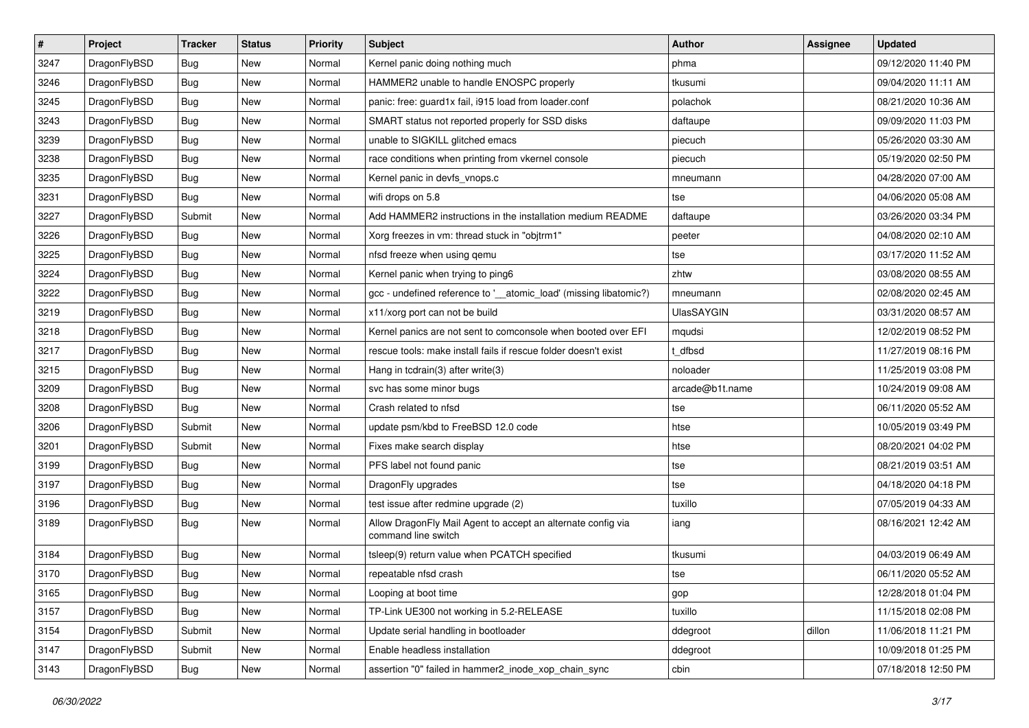| $\sharp$ | Project      | <b>Tracker</b> | <b>Status</b> | <b>Priority</b> | Subject                                                                             | <b>Author</b>     | Assignee | <b>Updated</b>      |
|----------|--------------|----------------|---------------|-----------------|-------------------------------------------------------------------------------------|-------------------|----------|---------------------|
| 3247     | DragonFlyBSD | Bug            | New           | Normal          | Kernel panic doing nothing much                                                     | phma              |          | 09/12/2020 11:40 PM |
| 3246     | DragonFlyBSD | Bug            | <b>New</b>    | Normal          | HAMMER2 unable to handle ENOSPC properly                                            | tkusumi           |          | 09/04/2020 11:11 AM |
| 3245     | DragonFlyBSD | Bug            | <b>New</b>    | Normal          | panic: free: guard1x fail, i915 load from loader.conf                               | polachok          |          | 08/21/2020 10:36 AM |
| 3243     | DragonFlyBSD | <b>Bug</b>     | New           | Normal          | SMART status not reported properly for SSD disks                                    | daftaupe          |          | 09/09/2020 11:03 PM |
| 3239     | DragonFlyBSD | Bug            | <b>New</b>    | Normal          | unable to SIGKILL glitched emacs                                                    | piecuch           |          | 05/26/2020 03:30 AM |
| 3238     | DragonFlyBSD | <b>Bug</b>     | <b>New</b>    | Normal          | race conditions when printing from vkernel console                                  | piecuch           |          | 05/19/2020 02:50 PM |
| 3235     | DragonFlyBSD | Bug            | New           | Normal          | Kernel panic in devfs vnops.c                                                       | mneumann          |          | 04/28/2020 07:00 AM |
| 3231     | DragonFlyBSD | Bug            | <b>New</b>    | Normal          | wifi drops on 5.8                                                                   | tse               |          | 04/06/2020 05:08 AM |
| 3227     | DragonFlyBSD | Submit         | <b>New</b>    | Normal          | Add HAMMER2 instructions in the installation medium README                          | daftaupe          |          | 03/26/2020 03:34 PM |
| 3226     | DragonFlyBSD | Bug            | <b>New</b>    | Normal          | Xorg freezes in vm: thread stuck in "objtrm1"                                       | peeter            |          | 04/08/2020 02:10 AM |
| 3225     | DragonFlyBSD | Bug            | <b>New</b>    | Normal          | nfsd freeze when using gemu                                                         | tse               |          | 03/17/2020 11:52 AM |
| 3224     | DragonFlyBSD | Bug            | New           | Normal          | Kernel panic when trying to ping6                                                   | zhtw              |          | 03/08/2020 08:55 AM |
| 3222     | DragonFlyBSD | Bug            | New           | Normal          | gcc - undefined reference to '__atomic_load' (missing libatomic?)                   | mneumann          |          | 02/08/2020 02:45 AM |
| 3219     | DragonFlyBSD | Bug            | <b>New</b>    | Normal          | x11/xorg port can not be build                                                      | <b>UlasSAYGIN</b> |          | 03/31/2020 08:57 AM |
| 3218     | DragonFlyBSD | Bug            | <b>New</b>    | Normal          | Kernel panics are not sent to comconsole when booted over EFI                       | mqudsi            |          | 12/02/2019 08:52 PM |
| 3217     | DragonFlyBSD | <b>Bug</b>     | <b>New</b>    | Normal          | rescue tools: make install fails if rescue folder doesn't exist                     | t dfbsd           |          | 11/27/2019 08:16 PM |
| 3215     | DragonFlyBSD | Bug            | New           | Normal          | Hang in tcdrain(3) after write(3)                                                   | noloader          |          | 11/25/2019 03:08 PM |
| 3209     | DragonFlyBSD | Bug            | <b>New</b>    | Normal          | svc has some minor bugs                                                             | arcade@b1t.name   |          | 10/24/2019 09:08 AM |
| 3208     | DragonFlyBSD | <b>Bug</b>     | <b>New</b>    | Normal          | Crash related to nfsd                                                               | tse               |          | 06/11/2020 05:52 AM |
| 3206     | DragonFlyBSD | Submit         | New           | Normal          | update psm/kbd to FreeBSD 12.0 code                                                 | htse              |          | 10/05/2019 03:49 PM |
| 3201     | DragonFlyBSD | Submit         | <b>New</b>    | Normal          | Fixes make search display                                                           | htse              |          | 08/20/2021 04:02 PM |
| 3199     | DragonFlyBSD | <b>Bug</b>     | New           | Normal          | PFS label not found panic                                                           | tse               |          | 08/21/2019 03:51 AM |
| 3197     | DragonFlyBSD | Bug            | New           | Normal          | DragonFly upgrades                                                                  | tse               |          | 04/18/2020 04:18 PM |
| 3196     | DragonFlyBSD | <b>Bug</b>     | New           | Normal          | test issue after redmine upgrade (2)                                                | tuxillo           |          | 07/05/2019 04:33 AM |
| 3189     | DragonFlyBSD | Bug            | <b>New</b>    | Normal          | Allow DragonFly Mail Agent to accept an alternate config via<br>command line switch | iang              |          | 08/16/2021 12:42 AM |
| 3184     | DragonFlyBSD | Bug            | New           | Normal          | tsleep(9) return value when PCATCH specified                                        | tkusumi           |          | 04/03/2019 06:49 AM |
| 3170     | DragonFlyBSD | Bug            | New           | Normal          | repeatable nfsd crash                                                               | tse               |          | 06/11/2020 05:52 AM |
| 3165     | DragonFlyBSD | <b>Bug</b>     | New           | Normal          | Looping at boot time                                                                | gop               |          | 12/28/2018 01:04 PM |
| 3157     | DragonFlyBSD | Bug            | New           | Normal          | TP-Link UE300 not working in 5.2-RELEASE                                            | tuxillo           |          | 11/15/2018 02:08 PM |
| 3154     | DragonFlyBSD | Submit         | <b>New</b>    | Normal          | Update serial handling in bootloader                                                | ddegroot          | dillon   | 11/06/2018 11:21 PM |
| 3147     | DragonFlyBSD | Submit         | New           | Normal          | Enable headless installation                                                        | ddegroot          |          | 10/09/2018 01:25 PM |
| 3143     | DragonFlyBSD | <b>Bug</b>     | New           | Normal          | assertion "0" failed in hammer2_inode_xop_chain_sync                                | cbin              |          | 07/18/2018 12:50 PM |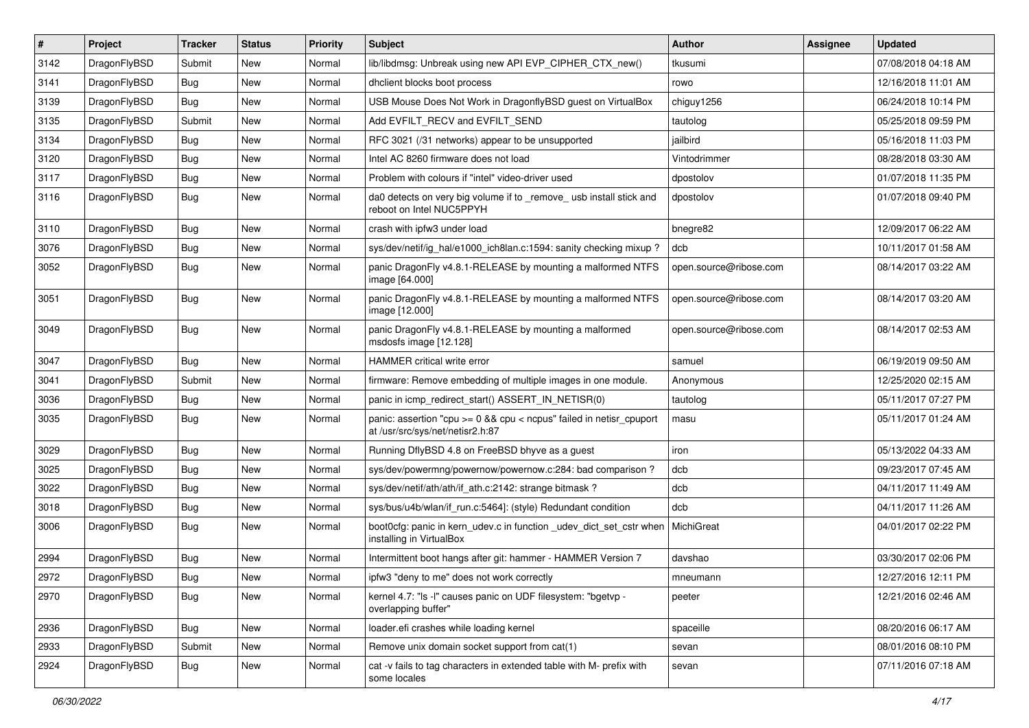| $\sharp$ | Project      | <b>Tracker</b> | <b>Status</b> | <b>Priority</b> | Subject                                                                                                 | <b>Author</b>          | Assignee | <b>Updated</b>      |
|----------|--------------|----------------|---------------|-----------------|---------------------------------------------------------------------------------------------------------|------------------------|----------|---------------------|
| 3142     | DragonFlyBSD | Submit         | New           | Normal          | lib/libdmsg: Unbreak using new API EVP_CIPHER_CTX_new()                                                 | tkusumi                |          | 07/08/2018 04:18 AM |
| 3141     | DragonFlyBSD | Bug            | New           | Normal          | dhclient blocks boot process                                                                            | rowo                   |          | 12/16/2018 11:01 AM |
| 3139     | DragonFlyBSD | Bug            | New           | Normal          | USB Mouse Does Not Work in DragonflyBSD guest on VirtualBox                                             | chiguy1256             |          | 06/24/2018 10:14 PM |
| 3135     | DragonFlyBSD | Submit         | <b>New</b>    | Normal          | Add EVFILT_RECV and EVFILT_SEND                                                                         | tautolog               |          | 05/25/2018 09:59 PM |
| 3134     | DragonFlyBSD | <b>Bug</b>     | <b>New</b>    | Normal          | RFC 3021 (/31 networks) appear to be unsupported                                                        | jailbird               |          | 05/16/2018 11:03 PM |
| 3120     | DragonFlyBSD | <b>Bug</b>     | <b>New</b>    | Normal          | Intel AC 8260 firmware does not load                                                                    | Vintodrimmer           |          | 08/28/2018 03:30 AM |
| 3117     | DragonFlyBSD | <b>Bug</b>     | New           | Normal          | Problem with colours if "intel" video-driver used                                                       | dpostolov              |          | 01/07/2018 11:35 PM |
| 3116     | DragonFlyBSD | <b>Bug</b>     | <b>New</b>    | Normal          | da0 detects on very big volume if to _remove_ usb install stick and<br>reboot on Intel NUC5PPYH         | dpostolov              |          | 01/07/2018 09:40 PM |
| 3110     | DragonFlyBSD | <b>Bug</b>     | <b>New</b>    | Normal          | crash with ipfw3 under load                                                                             | bnegre82               |          | 12/09/2017 06:22 AM |
| 3076     | DragonFlyBSD | <b>Bug</b>     | New           | Normal          | sys/dev/netif/ig_hal/e1000_ich8lan.c:1594: sanity checking mixup?                                       | dcb                    |          | 10/11/2017 01:58 AM |
| 3052     | DragonFlyBSD | <b>Bug</b>     | <b>New</b>    | Normal          | panic DragonFly v4.8.1-RELEASE by mounting a malformed NTFS<br>image [64.000]                           | open.source@ribose.com |          | 08/14/2017 03:22 AM |
| 3051     | DragonFlyBSD | <b>Bug</b>     | New           | Normal          | panic DragonFly v4.8.1-RELEASE by mounting a malformed NTFS<br>image [12.000]                           | open.source@ribose.com |          | 08/14/2017 03:20 AM |
| 3049     | DragonFlyBSD | Bug            | <b>New</b>    | Normal          | panic DragonFly v4.8.1-RELEASE by mounting a malformed<br>msdosfs image [12.128]                        | open.source@ribose.com |          | 08/14/2017 02:53 AM |
| 3047     | DragonFlyBSD | <b>Bug</b>     | <b>New</b>    | Normal          | HAMMER critical write error                                                                             | samuel                 |          | 06/19/2019 09:50 AM |
| 3041     | DragonFlyBSD | Submit         | <b>New</b>    | Normal          | firmware: Remove embedding of multiple images in one module.                                            | Anonymous              |          | 12/25/2020 02:15 AM |
| 3036     | DragonFlyBSD | <b>Bug</b>     | New           | Normal          | panic in icmp_redirect_start() ASSERT_IN_NETISR(0)                                                      | tautolog               |          | 05/11/2017 07:27 PM |
| 3035     | DragonFlyBSD | <b>Bug</b>     | New           | Normal          | panic: assertion "cpu >= 0 && cpu < ncpus" failed in netisr_cpuport<br>at /usr/src/sys/net/netisr2.h:87 | masu                   |          | 05/11/2017 01:24 AM |
| 3029     | DragonFlyBSD | <b>Bug</b>     | <b>New</b>    | Normal          | Running DflyBSD 4.8 on FreeBSD bhyve as a guest                                                         | iron                   |          | 05/13/2022 04:33 AM |
| 3025     | DragonFlyBSD | <b>Bug</b>     | New           | Normal          | sys/dev/powermng/powernow/powernow.c:284: bad comparison?                                               | dcb                    |          | 09/23/2017 07:45 AM |
| 3022     | DragonFlyBSD | <b>Bug</b>     | New           | Normal          | sys/dev/netif/ath/ath/if_ath.c:2142: strange bitmask?                                                   | dcb                    |          | 04/11/2017 11:49 AM |
| 3018     | DragonFlyBSD | <b>Bug</b>     | New           | Normal          | sys/bus/u4b/wlan/if_run.c:5464]: (style) Redundant condition                                            | dcb                    |          | 04/11/2017 11:26 AM |
| 3006     | DragonFlyBSD | <b>Bug</b>     | New           | Normal          | boot0cfg: panic in kern_udev.c in function _udev_dict_set_cstr when<br>installing in VirtualBox         | MichiGreat             |          | 04/01/2017 02:22 PM |
| 2994     | DragonFlyBSD | <b>Bug</b>     | <b>New</b>    | Normal          | Intermittent boot hangs after git: hammer - HAMMER Version 7                                            | davshao                |          | 03/30/2017 02:06 PM |
| 2972     | DragonFlyBSD | Bug            | <b>New</b>    | Normal          | ipfw3 "deny to me" does not work correctly                                                              | mneumann               |          | 12/27/2016 12:11 PM |
| 2970     | DragonFlyBSD | Bug            | New           | Normal          | kernel 4.7: "Is -I" causes panic on UDF filesystem: "bgetvp -<br>overlapping buffer"                    | peeter                 |          | 12/21/2016 02:46 AM |
| 2936     | DragonFlyBSD | <b>Bug</b>     | <b>New</b>    | Normal          | loader.efi crashes while loading kernel                                                                 | spaceille              |          | 08/20/2016 06:17 AM |
| 2933     | DragonFlyBSD | Submit         | <b>New</b>    | Normal          | Remove unix domain socket support from cat(1)                                                           | sevan                  |          | 08/01/2016 08:10 PM |
| 2924     | DragonFlyBSD | <b>Bug</b>     | New           | Normal          | cat -v fails to tag characters in extended table with M- prefix with<br>some locales                    | sevan                  |          | 07/11/2016 07:18 AM |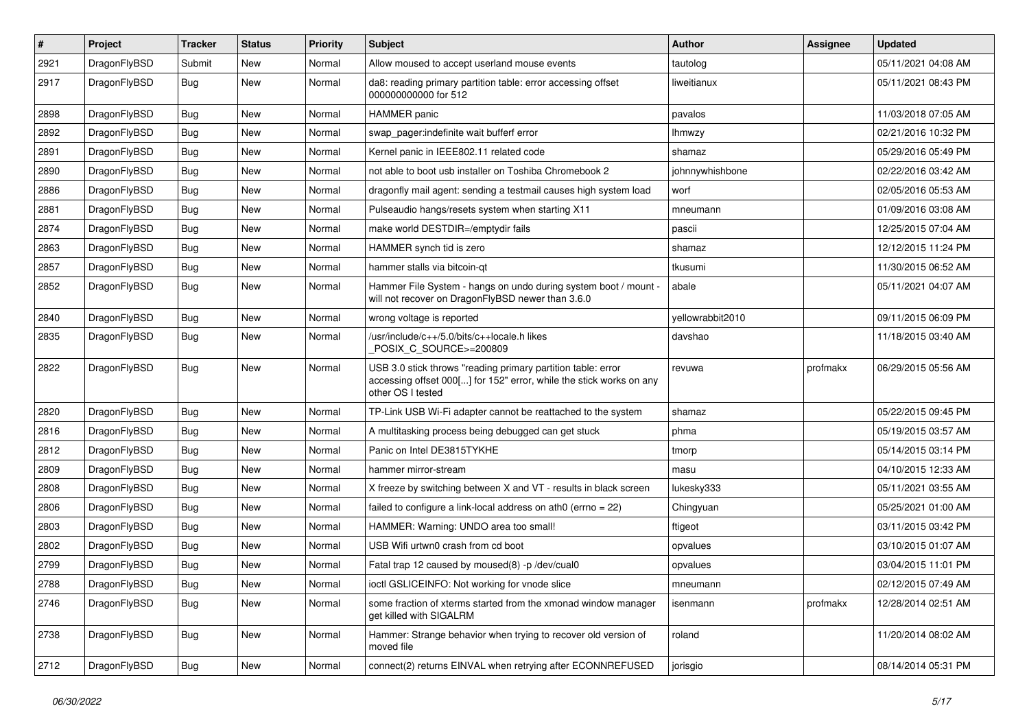| $\pmb{\#}$ | Project      | <b>Tracker</b> | <b>Status</b> | <b>Priority</b> | Subject                                                                                                                                                  | <b>Author</b>    | Assignee | <b>Updated</b>      |
|------------|--------------|----------------|---------------|-----------------|----------------------------------------------------------------------------------------------------------------------------------------------------------|------------------|----------|---------------------|
| 2921       | DragonFlyBSD | Submit         | New           | Normal          | Allow moused to accept userland mouse events                                                                                                             | tautolog         |          | 05/11/2021 04:08 AM |
| 2917       | DragonFlyBSD | Bug            | New           | Normal          | da8: reading primary partition table: error accessing offset<br>000000000000 for 512                                                                     | liweitianux      |          | 05/11/2021 08:43 PM |
| 2898       | DragonFlyBSD | Bug            | New           | Normal          | <b>HAMMER</b> panic                                                                                                                                      | pavalos          |          | 11/03/2018 07:05 AM |
| 2892       | DragonFlyBSD | <b>Bug</b>     | <b>New</b>    | Normal          | swap_pager:indefinite wait bufferf error                                                                                                                 | lhmwzy           |          | 02/21/2016 10:32 PM |
| 2891       | DragonFlyBSD | Bug            | New           | Normal          | Kernel panic in IEEE802.11 related code                                                                                                                  | shamaz           |          | 05/29/2016 05:49 PM |
| 2890       | DragonFlyBSD | <b>Bug</b>     | <b>New</b>    | Normal          | not able to boot usb installer on Toshiba Chromebook 2                                                                                                   | johnnywhishbone  |          | 02/22/2016 03:42 AM |
| 2886       | DragonFlyBSD | Bug            | New           | Normal          | dragonfly mail agent: sending a testmail causes high system load                                                                                         | worf             |          | 02/05/2016 05:53 AM |
| 2881       | DragonFlyBSD | Bug            | New           | Normal          | Pulseaudio hangs/resets system when starting X11                                                                                                         | mneumann         |          | 01/09/2016 03:08 AM |
| 2874       | DragonFlyBSD | Bug            | <b>New</b>    | Normal          | make world DESTDIR=/emptydir fails                                                                                                                       | pascii           |          | 12/25/2015 07:04 AM |
| 2863       | DragonFlyBSD | <b>Bug</b>     | New           | Normal          | HAMMER synch tid is zero                                                                                                                                 | shamaz           |          | 12/12/2015 11:24 PM |
| 2857       | DragonFlyBSD | Bug            | New           | Normal          | hammer stalls via bitcoin-qt                                                                                                                             | tkusumi          |          | 11/30/2015 06:52 AM |
| 2852       | DragonFlyBSD | Bug            | New           | Normal          | Hammer File System - hangs on undo during system boot / mount -<br>will not recover on DragonFlyBSD newer than 3.6.0                                     | abale            |          | 05/11/2021 04:07 AM |
| 2840       | DragonFlyBSD | Bug            | <b>New</b>    | Normal          | wrong voltage is reported                                                                                                                                | yellowrabbit2010 |          | 09/11/2015 06:09 PM |
| 2835       | DragonFlyBSD | Bug            | <b>New</b>    | Normal          | /usr/include/c++/5.0/bits/c++locale.h likes<br>POSIX C SOURCE>=200809                                                                                    | davshao          |          | 11/18/2015 03:40 AM |
| 2822       | DragonFlyBSD | Bug            | <b>New</b>    | Normal          | USB 3.0 stick throws "reading primary partition table: error<br>accessing offset 000[] for 152" error, while the stick works on any<br>other OS I tested | revuwa           | profmakx | 06/29/2015 05:56 AM |
| 2820       | DragonFlyBSD | <b>Bug</b>     | <b>New</b>    | Normal          | TP-Link USB Wi-Fi adapter cannot be reattached to the system                                                                                             | shamaz           |          | 05/22/2015 09:45 PM |
| 2816       | DragonFlyBSD | Bug            | New           | Normal          | A multitasking process being debugged can get stuck                                                                                                      | phma             |          | 05/19/2015 03:57 AM |
| 2812       | DragonFlyBSD | <b>Bug</b>     | <b>New</b>    | Normal          | Panic on Intel DE3815TYKHE                                                                                                                               | tmorp            |          | 05/14/2015 03:14 PM |
| 2809       | DragonFlyBSD | Bug            | New           | Normal          | hammer mirror-stream                                                                                                                                     | masu             |          | 04/10/2015 12:33 AM |
| 2808       | DragonFlyBSD | Bug            | <b>New</b>    | Normal          | X freeze by switching between X and VT - results in black screen                                                                                         | lukesky333       |          | 05/11/2021 03:55 AM |
| 2806       | DragonFlyBSD | Bug            | <b>New</b>    | Normal          | failed to configure a link-local address on ath0 (errno = 22)                                                                                            | Chingyuan        |          | 05/25/2021 01:00 AM |
| 2803       | DragonFlyBSD | Bug            | New           | Normal          | HAMMER: Warning: UNDO area too small!                                                                                                                    | ftigeot          |          | 03/11/2015 03:42 PM |
| 2802       | DragonFlyBSD | Bug            | <b>New</b>    | Normal          | USB Wifi urtwn0 crash from cd boot                                                                                                                       | opvalues         |          | 03/10/2015 01:07 AM |
| 2799       | DragonFlyBSD | Bug            | New           | Normal          | Fatal trap 12 caused by moused(8) -p/dev/cual0                                                                                                           | opvalues         |          | 03/04/2015 11:01 PM |
| 2788       | DragonFlyBSD | Bug            | New           | Normal          | ioctl GSLICEINFO: Not working for vnode slice                                                                                                            | mneumann         |          | 02/12/2015 07:49 AM |
| 2746       | DragonFlyBSD | Bug            | New           | Normal          | some fraction of xterms started from the xmonad window manager<br>get killed with SIGALRM                                                                | isenmann         | profmakx | 12/28/2014 02:51 AM |
| 2738       | DragonFlyBSD | Bug            | New           | Normal          | Hammer: Strange behavior when trying to recover old version of<br>moved file                                                                             | roland           |          | 11/20/2014 08:02 AM |
| 2712       | DragonFlyBSD | <b>Bug</b>     | New           | Normal          | connect(2) returns EINVAL when retrying after ECONNREFUSED                                                                                               | jorisgio         |          | 08/14/2014 05:31 PM |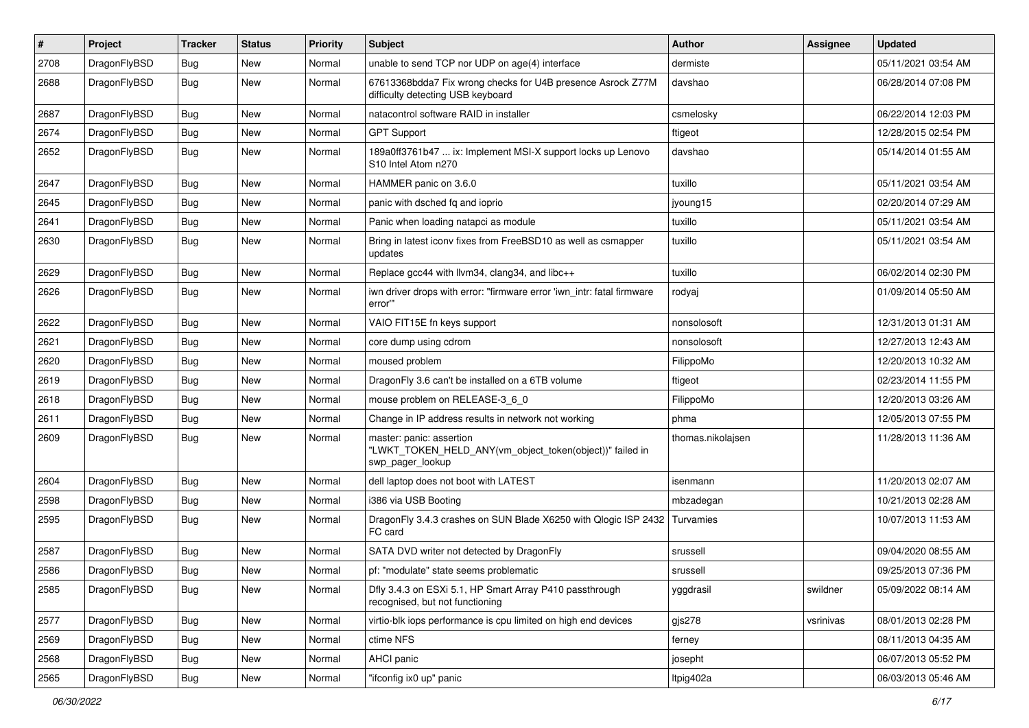| $\pmb{\#}$ | Project      | <b>Tracker</b> | <b>Status</b> | <b>Priority</b> | <b>Subject</b>                                                                                           | <b>Author</b>     | Assignee  | <b>Updated</b>      |
|------------|--------------|----------------|---------------|-----------------|----------------------------------------------------------------------------------------------------------|-------------------|-----------|---------------------|
| 2708       | DragonFlyBSD | Bug            | <b>New</b>    | Normal          | unable to send TCP nor UDP on age(4) interface                                                           | dermiste          |           | 05/11/2021 03:54 AM |
| 2688       | DragonFlyBSD | Bug            | New           | Normal          | 67613368bdda7 Fix wrong checks for U4B presence Asrock Z77M<br>difficulty detecting USB keyboard         | davshao           |           | 06/28/2014 07:08 PM |
| 2687       | DragonFlyBSD | Bug            | <b>New</b>    | Normal          | natacontrol software RAID in installer                                                                   | csmelosky         |           | 06/22/2014 12:03 PM |
| 2674       | DragonFlyBSD | <b>Bug</b>     | <b>New</b>    | Normal          | <b>GPT Support</b>                                                                                       | ftigeot           |           | 12/28/2015 02:54 PM |
| 2652       | DragonFlyBSD | Bug            | New           | Normal          | 189a0ff3761b47  ix: Implement MSI-X support locks up Lenovo<br>S10 Intel Atom n270                       | davshao           |           | 05/14/2014 01:55 AM |
| 2647       | DragonFlyBSD | Bug            | <b>New</b>    | Normal          | HAMMER panic on 3.6.0                                                                                    | tuxillo           |           | 05/11/2021 03:54 AM |
| 2645       | DragonFlyBSD | Bug            | <b>New</b>    | Normal          | panic with dsched fq and ioprio                                                                          | jyoung15          |           | 02/20/2014 07:29 AM |
| 2641       | DragonFlyBSD | Bug            | <b>New</b>    | Normal          | Panic when loading natapci as module                                                                     | tuxillo           |           | 05/11/2021 03:54 AM |
| 2630       | DragonFlyBSD | Bug            | New           | Normal          | Bring in latest iconv fixes from FreeBSD10 as well as csmapper<br>updates                                | tuxillo           |           | 05/11/2021 03:54 AM |
| 2629       | DragonFlyBSD | <b>Bug</b>     | New           | Normal          | Replace gcc44 with llvm34, clang34, and libc++                                                           | tuxillo           |           | 06/02/2014 02:30 PM |
| 2626       | DragonFlyBSD | Bug            | New           | Normal          | iwn driver drops with error: "firmware error 'iwn_intr: fatal firmware<br>error"                         | rodyaj            |           | 01/09/2014 05:50 AM |
| 2622       | DragonFlyBSD | Bug            | <b>New</b>    | Normal          | VAIO FIT15E fn keys support                                                                              | nonsolosoft       |           | 12/31/2013 01:31 AM |
| 2621       | DragonFlyBSD | Bug            | <b>New</b>    | Normal          | core dump using cdrom                                                                                    | nonsolosoft       |           | 12/27/2013 12:43 AM |
| 2620       | DragonFlyBSD | Bug            | <b>New</b>    | Normal          | moused problem                                                                                           | FilippoMo         |           | 12/20/2013 10:32 AM |
| 2619       | DragonFlyBSD | <b>Bug</b>     | <b>New</b>    | Normal          | DragonFly 3.6 can't be installed on a 6TB volume                                                         | ftigeot           |           | 02/23/2014 11:55 PM |
| 2618       | DragonFlyBSD | Bug            | <b>New</b>    | Normal          | mouse problem on RELEASE-3_6_0                                                                           | FilippoMo         |           | 12/20/2013 03:26 AM |
| 2611       | DragonFlyBSD | Bug            | <b>New</b>    | Normal          | Change in IP address results in network not working                                                      | phma              |           | 12/05/2013 07:55 PM |
| 2609       | DragonFlyBSD | Bug            | <b>New</b>    | Normal          | master: panic: assertion<br>"LWKT_TOKEN_HELD_ANY(vm_object_token(object))" failed in<br>swp_pager_lookup | thomas.nikolajsen |           | 11/28/2013 11:36 AM |
| 2604       | DragonFlyBSD | Bug            | <b>New</b>    | Normal          | dell laptop does not boot with LATEST                                                                    | isenmann          |           | 11/20/2013 02:07 AM |
| 2598       | DragonFlyBSD | Bug            | <b>New</b>    | Normal          | i386 via USB Booting                                                                                     | mbzadegan         |           | 10/21/2013 02:28 AM |
| 2595       | DragonFlyBSD | Bug            | <b>New</b>    | Normal          | DragonFly 3.4.3 crashes on SUN Blade X6250 with Qlogic ISP 2432<br>FC card                               | Turvamies         |           | 10/07/2013 11:53 AM |
| 2587       | DragonFlyBSD | <b>Bug</b>     | New           | Normal          | SATA DVD writer not detected by DragonFly                                                                | srussell          |           | 09/04/2020 08:55 AM |
| 2586       | DragonFlyBSD | Bug            | New           | Normal          | pf: "modulate" state seems problematic                                                                   | srussell          |           | 09/25/2013 07:36 PM |
| 2585       | DragonFlyBSD | <b>Bug</b>     | New           | Normal          | Dfly 3.4.3 on ESXi 5.1, HP Smart Array P410 passthrough<br>recognised, but not functioning               | yggdrasil         | swildner  | 05/09/2022 08:14 AM |
| 2577       | DragonFlyBSD | <b>Bug</b>     | New           | Normal          | virtio-blk iops performance is cpu limited on high end devices                                           | gjs278            | vsrinivas | 08/01/2013 02:28 PM |
| 2569       | DragonFlyBSD | Bug            | New           | Normal          | ctime NFS                                                                                                | ferney            |           | 08/11/2013 04:35 AM |
| 2568       | DragonFlyBSD | Bug            | New           | Normal          | AHCI panic                                                                                               | josepht           |           | 06/07/2013 05:52 PM |
| 2565       | DragonFlyBSD | Bug            | New           | Normal          | "ifconfig ix0 up" panic                                                                                  | Itpig402a         |           | 06/03/2013 05:46 AM |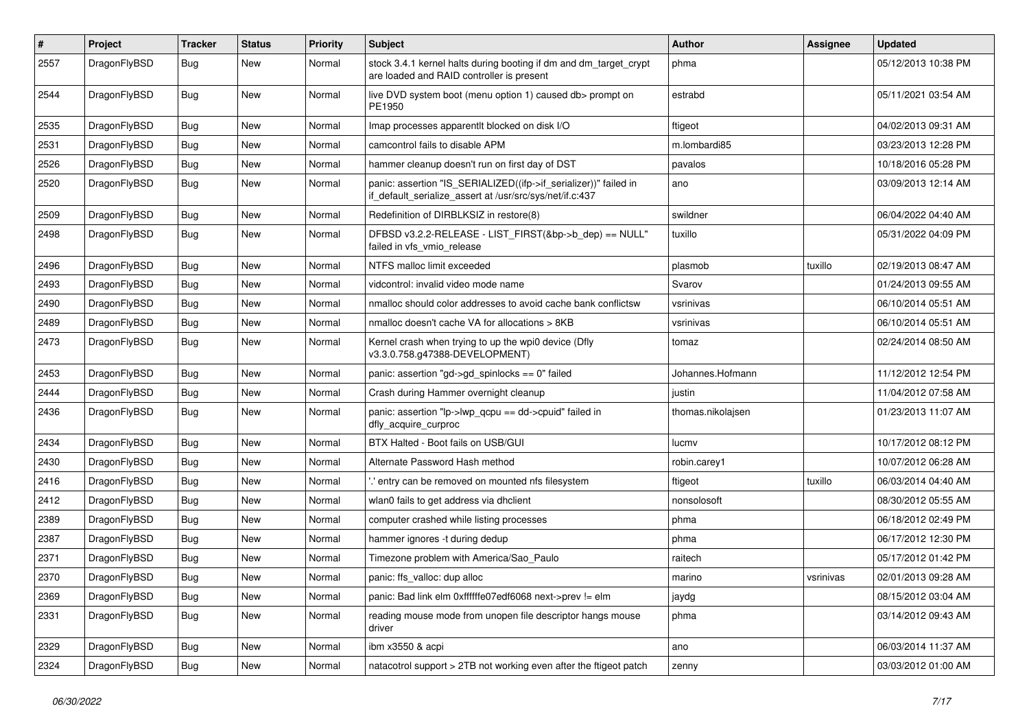| #    | Project      | <b>Tracker</b> | <b>Status</b> | <b>Priority</b> | Subject                                                                                                                      | <b>Author</b>     | Assignee  | <b>Updated</b>      |
|------|--------------|----------------|---------------|-----------------|------------------------------------------------------------------------------------------------------------------------------|-------------------|-----------|---------------------|
| 2557 | DragonFlyBSD | Bug            | New           | Normal          | stock 3.4.1 kernel halts during booting if dm and dm_target_crypt<br>are loaded and RAID controller is present               | phma              |           | 05/12/2013 10:38 PM |
| 2544 | DragonFlyBSD | <b>Bug</b>     | <b>New</b>    | Normal          | live DVD system boot (menu option 1) caused db> prompt on<br>PE1950                                                          | estrabd           |           | 05/11/2021 03:54 AM |
| 2535 | DragonFlyBSD | Bug            | <b>New</b>    | Normal          | Imap processes apparentit blocked on disk I/O                                                                                | ftigeot           |           | 04/02/2013 09:31 AM |
| 2531 | DragonFlyBSD | <b>Bug</b>     | <b>New</b>    | Normal          | camcontrol fails to disable APM                                                                                              | m.lombardi85      |           | 03/23/2013 12:28 PM |
| 2526 | DragonFlyBSD | <b>Bug</b>     | <b>New</b>    | Normal          | hammer cleanup doesn't run on first day of DST                                                                               | pavalos           |           | 10/18/2016 05:28 PM |
| 2520 | DragonFlyBSD | Bug            | New           | Normal          | panic: assertion "IS_SERIALIZED((ifp->if_serializer))" failed in<br>if_default_serialize_assert at /usr/src/sys/net/if.c:437 | ano               |           | 03/09/2013 12:14 AM |
| 2509 | DragonFlyBSD | <b>Bug</b>     | New           | Normal          | Redefinition of DIRBLKSIZ in restore(8)                                                                                      | swildner          |           | 06/04/2022 04:40 AM |
| 2498 | DragonFlyBSD | <b>Bug</b>     | <b>New</b>    | Normal          | DFBSD v3.2.2-RELEASE - LIST_FIRST(&bp->b_dep) == NULL"<br>failed in vfs_vmio_release                                         | tuxillo           |           | 05/31/2022 04:09 PM |
| 2496 | DragonFlyBSD | Bug            | <b>New</b>    | Normal          | NTFS malloc limit exceeded                                                                                                   | plasmob           | tuxillo   | 02/19/2013 08:47 AM |
| 2493 | DragonFlyBSD | <b>Bug</b>     | <b>New</b>    | Normal          | vidcontrol: invalid video mode name                                                                                          | Svarov            |           | 01/24/2013 09:55 AM |
| 2490 | DragonFlyBSD | <b>Bug</b>     | <b>New</b>    | Normal          | nmalloc should color addresses to avoid cache bank conflictsw                                                                | vsrinivas         |           | 06/10/2014 05:51 AM |
| 2489 | DragonFlyBSD | <b>Bug</b>     | New           | Normal          | nmalloc doesn't cache VA for allocations > 8KB                                                                               | vsrinivas         |           | 06/10/2014 05:51 AM |
| 2473 | DragonFlyBSD | <b>Bug</b>     | New           | Normal          | Kernel crash when trying to up the wpi0 device (Dfly<br>v3.3.0.758.g47388-DEVELOPMENT)                                       | tomaz             |           | 02/24/2014 08:50 AM |
| 2453 | DragonFlyBSD | Bug            | <b>New</b>    | Normal          | panic: assertion "gd->gd_spinlocks == 0" failed                                                                              | Johannes.Hofmann  |           | 11/12/2012 12:54 PM |
| 2444 | DragonFlyBSD | <b>Bug</b>     | <b>New</b>    | Normal          | Crash during Hammer overnight cleanup                                                                                        | justin            |           | 11/04/2012 07:58 AM |
| 2436 | DragonFlyBSD | <b>Bug</b>     | <b>New</b>    | Normal          | panic: assertion "lp->lwp_qcpu == dd->cpuid" failed in<br>dfly_acquire_curproc                                               | thomas.nikolajsen |           | 01/23/2013 11:07 AM |
| 2434 | DragonFlyBSD | <b>Bug</b>     | <b>New</b>    | Normal          | BTX Halted - Boot fails on USB/GUI                                                                                           | lucmv             |           | 10/17/2012 08:12 PM |
| 2430 | DragonFlyBSD | <b>Bug</b>     | <b>New</b>    | Normal          | Alternate Password Hash method                                                                                               | robin.carey1      |           | 10/07/2012 06:28 AM |
| 2416 | DragonFlyBSD | <b>Bug</b>     | <b>New</b>    | Normal          | 'entry can be removed on mounted nfs filesystem                                                                              | ftigeot           | tuxillo   | 06/03/2014 04:40 AM |
| 2412 | DragonFlyBSD | <b>Bug</b>     | <b>New</b>    | Normal          | wlan0 fails to get address via dhclient                                                                                      | nonsolosoft       |           | 08/30/2012 05:55 AM |
| 2389 | DragonFlyBSD | <b>Bug</b>     | <b>New</b>    | Normal          | computer crashed while listing processes                                                                                     | phma              |           | 06/18/2012 02:49 PM |
| 2387 | DragonFlyBSD | <b>Bug</b>     | New           | Normal          | hammer ignores -t during dedup                                                                                               | phma              |           | 06/17/2012 12:30 PM |
| 2371 | DragonFlyBSD | <b>Bug</b>     | <b>New</b>    | Normal          | Timezone problem with America/Sao_Paulo                                                                                      | raitech           |           | 05/17/2012 01:42 PM |
| 2370 | DragonFlyBSD | <b>Bug</b>     | <b>New</b>    | Normal          | panic: ffs_valloc: dup alloc                                                                                                 | marino            | vsrinivas | 02/01/2013 09:28 AM |
| 2369 | DragonFlyBSD | <b>Bug</b>     | New           | Normal          | panic: Bad link elm 0xffffffe07edf6068 next->prev != elm                                                                     | jaydg             |           | 08/15/2012 03:04 AM |
| 2331 | DragonFlyBSD | <b>Bug</b>     | New           | Normal          | reading mouse mode from unopen file descriptor hangs mouse<br>driver                                                         | phma              |           | 03/14/2012 09:43 AM |
| 2329 | DragonFlyBSD | <b>Bug</b>     | New           | Normal          | ibm x3550 & acpi                                                                                                             | ano               |           | 06/03/2014 11:37 AM |
| 2324 | DragonFlyBSD | Bug            | New           | Normal          | natacotrol support > 2TB not working even after the ftigeot patch                                                            | zenny             |           | 03/03/2012 01:00 AM |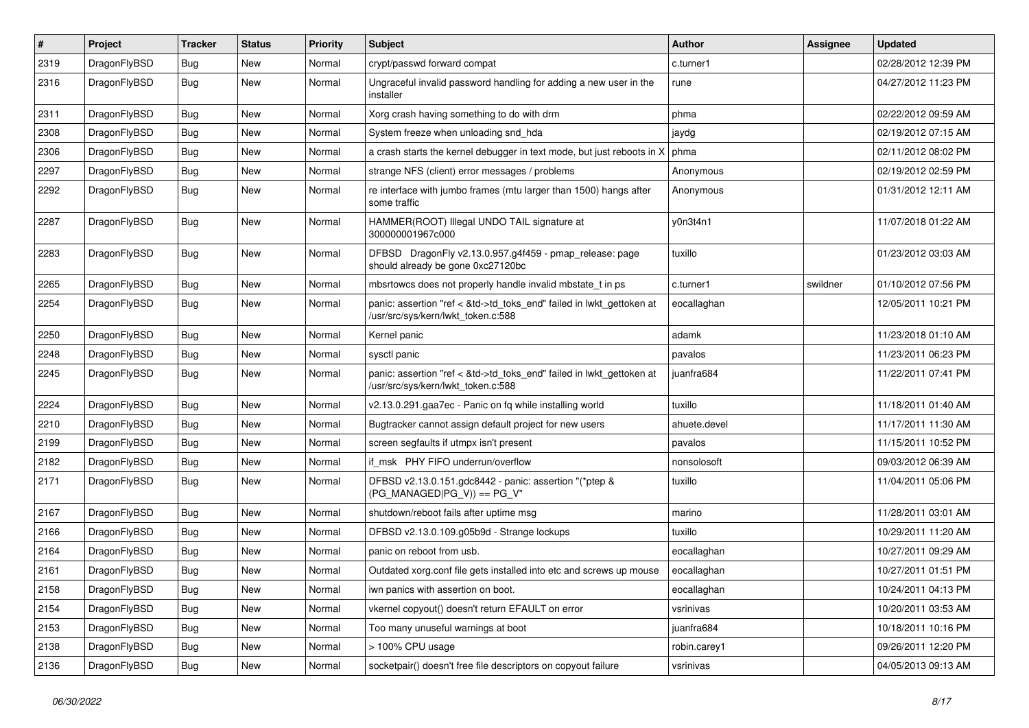| $\sharp$ | Project      | <b>Tracker</b> | <b>Status</b> | <b>Priority</b> | Subject                                                                                                    | <b>Author</b> | <b>Assignee</b> | <b>Updated</b>      |
|----------|--------------|----------------|---------------|-----------------|------------------------------------------------------------------------------------------------------------|---------------|-----------------|---------------------|
| 2319     | DragonFlyBSD | Bug            | New           | Normal          | crypt/passwd forward compat                                                                                | c.turner1     |                 | 02/28/2012 12:39 PM |
| 2316     | DragonFlyBSD | <b>Bug</b>     | New           | Normal          | Ungraceful invalid password handling for adding a new user in the<br>installer                             | rune          |                 | 04/27/2012 11:23 PM |
| 2311     | DragonFlyBSD | Bug            | New           | Normal          | Xorg crash having something to do with drm                                                                 | phma          |                 | 02/22/2012 09:59 AM |
| 2308     | DragonFlyBSD | Bug            | New           | Normal          | System freeze when unloading snd_hda                                                                       | jaydg         |                 | 02/19/2012 07:15 AM |
| 2306     | DragonFlyBSD | Bug            | New           | Normal          | a crash starts the kernel debugger in text mode, but just reboots in X                                     | phma          |                 | 02/11/2012 08:02 PM |
| 2297     | DragonFlyBSD | Bug            | New           | Normal          | strange NFS (client) error messages / problems                                                             | Anonymous     |                 | 02/19/2012 02:59 PM |
| 2292     | DragonFlyBSD | Bug            | <b>New</b>    | Normal          | re interface with jumbo frames (mtu larger than 1500) hangs after<br>some traffic                          | Anonymous     |                 | 01/31/2012 12:11 AM |
| 2287     | DragonFlyBSD | <b>Bug</b>     | New           | Normal          | HAMMER(ROOT) Illegal UNDO TAIL signature at<br>300000001967c000                                            | y0n3t4n1      |                 | 11/07/2018 01:22 AM |
| 2283     | DragonFlyBSD | Bug            | <b>New</b>    | Normal          | DFBSD DragonFly v2.13.0.957.g4f459 - pmap_release: page<br>should already be gone 0xc27120bc               | tuxillo       |                 | 01/23/2012 03:03 AM |
| 2265     | DragonFlyBSD | Bug            | New           | Normal          | mbsrtowcs does not properly handle invalid mbstate_t in ps                                                 | c.turner1     | swildner        | 01/10/2012 07:56 PM |
| 2254     | DragonFlyBSD | Bug            | <b>New</b>    | Normal          | panic: assertion "ref < &td->td_toks_end" failed in lwkt_gettoken at<br>/usr/src/sys/kern/lwkt_token.c:588 | eocallaghan   |                 | 12/05/2011 10:21 PM |
| 2250     | DragonFlyBSD | Bug            | <b>New</b>    | Normal          | Kernel panic                                                                                               | adamk         |                 | 11/23/2018 01:10 AM |
| 2248     | DragonFlyBSD | Bug            | New           | Normal          | sysctl panic                                                                                               | pavalos       |                 | 11/23/2011 06:23 PM |
| 2245     | DragonFlyBSD | Bug            | <b>New</b>    | Normal          | panic: assertion "ref < &td->td_toks_end" failed in lwkt_gettoken at<br>/usr/src/sys/kern/lwkt_token.c:588 | juanfra684    |                 | 11/22/2011 07:41 PM |
| 2224     | DragonFlyBSD | Bug            | <b>New</b>    | Normal          | v2.13.0.291.gaa7ec - Panic on fq while installing world                                                    | tuxillo       |                 | 11/18/2011 01:40 AM |
| 2210     | DragonFlyBSD | Bug            | New           | Normal          | Bugtracker cannot assign default project for new users                                                     | ahuete.devel  |                 | 11/17/2011 11:30 AM |
| 2199     | DragonFlyBSD | Bug            | New           | Normal          | screen segfaults if utmpx isn't present                                                                    | pavalos       |                 | 11/15/2011 10:52 PM |
| 2182     | DragonFlyBSD | Bug            | <b>New</b>    | Normal          | if msk PHY FIFO underrun/overflow                                                                          | nonsolosoft   |                 | 09/03/2012 06:39 AM |
| 2171     | DragonFlyBSD | Bug            | New           | Normal          | DFBSD v2.13.0.151.gdc8442 - panic: assertion "(*ptep &<br>$(PG_MANAGED PG_V)) == PG_V"$                    | tuxillo       |                 | 11/04/2011 05:06 PM |
| 2167     | DragonFlyBSD | Bug            | New           | Normal          | shutdown/reboot fails after uptime msg                                                                     | marino        |                 | 11/28/2011 03:01 AM |
| 2166     | DragonFlyBSD | Bug            | New           | Normal          | DFBSD v2.13.0.109.g05b9d - Strange lockups                                                                 | tuxillo       |                 | 10/29/2011 11:20 AM |
| 2164     | DragonFlyBSD | Bug            | New           | Normal          | panic on reboot from usb.                                                                                  | eocallaghan   |                 | 10/27/2011 09:29 AM |
| 2161     | DragonFlyBSD | <b>Bug</b>     | <b>New</b>    | Normal          | Outdated xorg.conf file gets installed into etc and screws up mouse                                        | eocallaghan   |                 | 10/27/2011 01:51 PM |
| 2158     | DragonFlyBSD | <b>Bug</b>     | <b>New</b>    | Normal          | iwn panics with assertion on boot.                                                                         | eocallaghan   |                 | 10/24/2011 04:13 PM |
| 2154     | DragonFlyBSD | <b>Bug</b>     | New           | Normal          | vkernel copyout() doesn't return EFAULT on error                                                           | vsrinivas     |                 | 10/20/2011 03:53 AM |
| 2153     | DragonFlyBSD | <b>Bug</b>     | <b>New</b>    | Normal          | Too many unuseful warnings at boot                                                                         | juanfra684    |                 | 10/18/2011 10:16 PM |
| 2138     | DragonFlyBSD | <b>Bug</b>     | <b>New</b>    | Normal          | > 100% CPU usage                                                                                           | robin.carey1  |                 | 09/26/2011 12:20 PM |
| 2136     | DragonFlyBSD | <b>Bug</b>     | New           | Normal          | socketpair() doesn't free file descriptors on copyout failure                                              | vsrinivas     |                 | 04/05/2013 09:13 AM |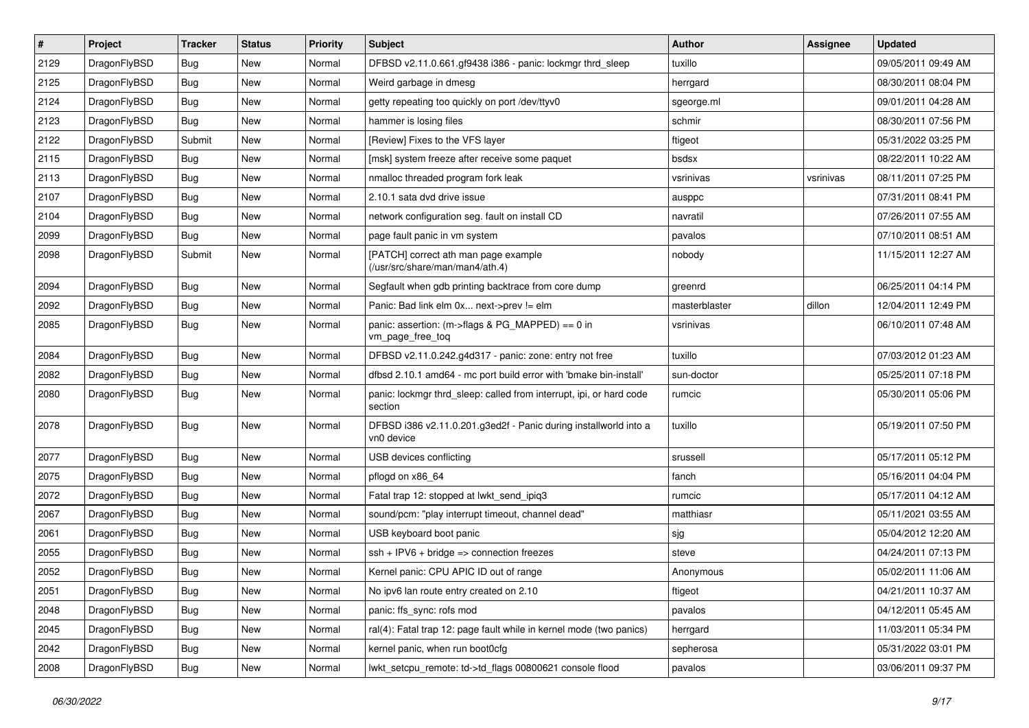| $\sharp$ | Project      | <b>Tracker</b> | <b>Status</b> | <b>Priority</b> | <b>Subject</b>                                                                 | <b>Author</b> | <b>Assignee</b> | <b>Updated</b>      |
|----------|--------------|----------------|---------------|-----------------|--------------------------------------------------------------------------------|---------------|-----------------|---------------------|
| 2129     | DragonFlyBSD | Bug            | New           | Normal          | DFBSD v2.11.0.661.gf9438 i386 - panic: lockmgr thrd_sleep                      | tuxillo       |                 | 09/05/2011 09:49 AM |
| 2125     | DragonFlyBSD | Bug            | <b>New</b>    | Normal          | Weird garbage in dmesg                                                         | herrgard      |                 | 08/30/2011 08:04 PM |
| 2124     | DragonFlyBSD | Bug            | <b>New</b>    | Normal          | getty repeating too quickly on port /dev/ttyv0                                 | sgeorge.ml    |                 | 09/01/2011 04:28 AM |
| 2123     | DragonFlyBSD | Bug            | New           | Normal          | hammer is losing files                                                         | schmir        |                 | 08/30/2011 07:56 PM |
| 2122     | DragonFlyBSD | Submit         | New           | Normal          | [Review] Fixes to the VFS layer                                                | ftigeot       |                 | 05/31/2022 03:25 PM |
| 2115     | DragonFlyBSD | <b>Bug</b>     | New           | Normal          | [msk] system freeze after receive some paquet                                  | bsdsx         |                 | 08/22/2011 10:22 AM |
| 2113     | DragonFlyBSD | Bug            | New           | Normal          | nmalloc threaded program fork leak                                             | vsrinivas     | vsrinivas       | 08/11/2011 07:25 PM |
| 2107     | DragonFlyBSD | <b>Bug</b>     | <b>New</b>    | Normal          | 2.10.1 sata dvd drive issue                                                    | ausppc        |                 | 07/31/2011 08:41 PM |
| 2104     | DragonFlyBSD | <b>Bug</b>     | New           | Normal          | network configuration seg. fault on install CD                                 | navratil      |                 | 07/26/2011 07:55 AM |
| 2099     | DragonFlyBSD | Bug            | <b>New</b>    | Normal          | page fault panic in vm system                                                  | pavalos       |                 | 07/10/2011 08:51 AM |
| 2098     | DragonFlyBSD | Submit         | New           | Normal          | [PATCH] correct ath man page example<br>(/usr/src/share/man/man4/ath.4)        | nobody        |                 | 11/15/2011 12:27 AM |
| 2094     | DragonFlyBSD | Bug            | <b>New</b>    | Normal          | Segfault when gdb printing backtrace from core dump                            | greenrd       |                 | 06/25/2011 04:14 PM |
| 2092     | DragonFlyBSD | <b>Bug</b>     | New           | Normal          | Panic: Bad link elm 0x next->prev != elm                                       | masterblaster | dillon          | 12/04/2011 12:49 PM |
| 2085     | DragonFlyBSD | <b>Bug</b>     | New           | Normal          | panic: assertion: (m->flags & PG_MAPPED) == 0 in<br>vm_page_free_toq           | vsrinivas     |                 | 06/10/2011 07:48 AM |
| 2084     | DragonFlyBSD | Bug            | <b>New</b>    | Normal          | DFBSD v2.11.0.242.g4d317 - panic: zone: entry not free                         | tuxillo       |                 | 07/03/2012 01:23 AM |
| 2082     | DragonFlyBSD | Bug            | <b>New</b>    | Normal          | dfbsd 2.10.1 amd64 - mc port build error with 'bmake bin-install'              | sun-doctor    |                 | 05/25/2011 07:18 PM |
| 2080     | DragonFlyBSD | <b>Bug</b>     | New           | Normal          | panic: lockmgr thrd sleep: called from interrupt, ipi, or hard code<br>section | rumcic        |                 | 05/30/2011 05:06 PM |
| 2078     | DragonFlyBSD | <b>Bug</b>     | New           | Normal          | DFBSD i386 v2.11.0.201.g3ed2f - Panic during installworld into a<br>vn0 device | tuxillo       |                 | 05/19/2011 07:50 PM |
| 2077     | DragonFlyBSD | Bug            | New           | Normal          | USB devices conflicting                                                        | srussell      |                 | 05/17/2011 05:12 PM |
| 2075     | DragonFlyBSD | <b>Bug</b>     | New           | Normal          | pflogd on x86 64                                                               | fanch         |                 | 05/16/2011 04:04 PM |
| 2072     | DragonFlyBSD | <b>Bug</b>     | <b>New</b>    | Normal          | Fatal trap 12: stopped at lwkt_send_ipiq3                                      | rumcic        |                 | 05/17/2011 04:12 AM |
| 2067     | DragonFlyBSD | Bug            | New           | Normal          | sound/pcm: "play interrupt timeout, channel dead"                              | matthiasr     |                 | 05/11/2021 03:55 AM |
| 2061     | DragonFlyBSD | <b>Bug</b>     | New           | Normal          | USB keyboard boot panic                                                        | sjg           |                 | 05/04/2012 12:20 AM |
| 2055     | DragonFlyBSD | <b>Bug</b>     | <b>New</b>    | Normal          | $ssh + IPV6 + bridge \Rightarrow connection freezes$                           | steve         |                 | 04/24/2011 07:13 PM |
| 2052     | DragonFlyBSD | Bug            | New           | Normal          | Kernel panic: CPU APIC ID out of range                                         | Anonymous     |                 | 05/02/2011 11:06 AM |
| 2051     | DragonFlyBSD | <b>Bug</b>     | New           | Normal          | No ipv6 lan route entry created on 2.10                                        | ftigeot       |                 | 04/21/2011 10:37 AM |
| 2048     | DragonFlyBSD | <b>Bug</b>     | New           | Normal          | panic: ffs_sync: rofs mod                                                      | pavalos       |                 | 04/12/2011 05:45 AM |
| 2045     | DragonFlyBSD | <b>Bug</b>     | New           | Normal          | ral(4): Fatal trap 12: page fault while in kernel mode (two panics)            | herrgard      |                 | 11/03/2011 05:34 PM |
| 2042     | DragonFlyBSD | <b>Bug</b>     | New           | Normal          | kernel panic, when run boot0cfg                                                | sepherosa     |                 | 05/31/2022 03:01 PM |
| 2008     | DragonFlyBSD | <b>Bug</b>     | New           | Normal          | lwkt_setcpu_remote: td->td_flags 00800621 console flood                        | pavalos       |                 | 03/06/2011 09:37 PM |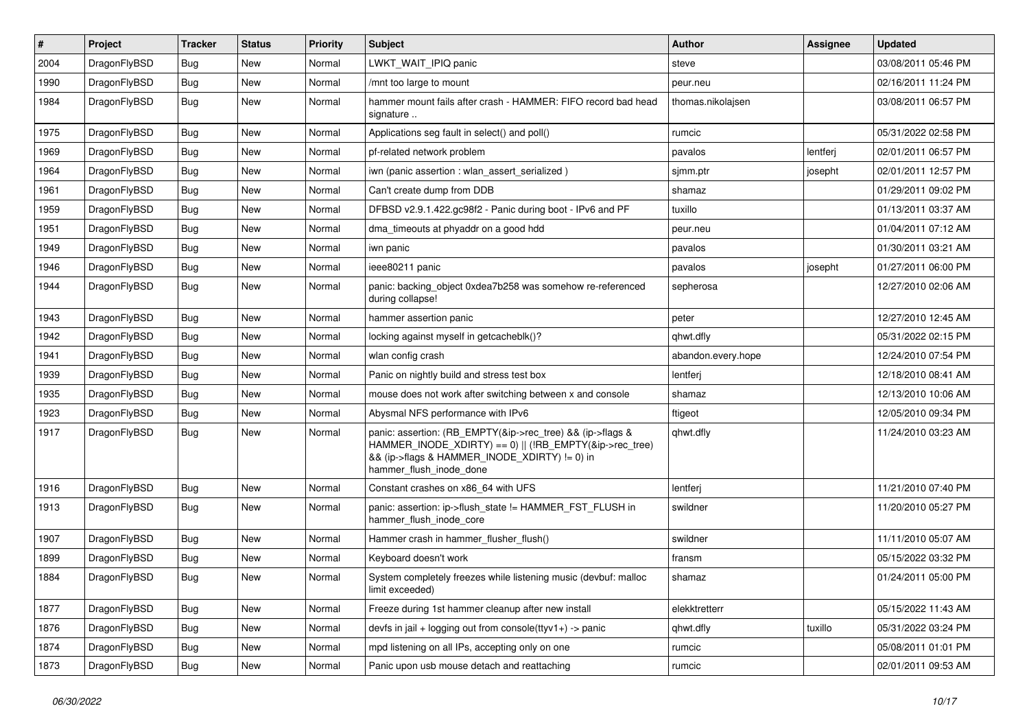| $\vert$ # | Project      | <b>Tracker</b> | <b>Status</b> | <b>Priority</b> | <b>Subject</b>                                                                                                                                                                                    | Author             | Assignee | <b>Updated</b>      |
|-----------|--------------|----------------|---------------|-----------------|---------------------------------------------------------------------------------------------------------------------------------------------------------------------------------------------------|--------------------|----------|---------------------|
| 2004      | DragonFlyBSD | <b>Bug</b>     | <b>New</b>    | Normal          | LWKT_WAIT_IPIQ panic                                                                                                                                                                              | steve              |          | 03/08/2011 05:46 PM |
| 1990      | DragonFlyBSD | <b>Bug</b>     | <b>New</b>    | Normal          | /mnt too large to mount                                                                                                                                                                           | peur.neu           |          | 02/16/2011 11:24 PM |
| 1984      | DragonFlyBSD | <b>Bug</b>     | <b>New</b>    | Normal          | hammer mount fails after crash - HAMMER: FIFO record bad head<br>signature                                                                                                                        | thomas.nikolajsen  |          | 03/08/2011 06:57 PM |
| 1975      | DragonFlyBSD | <b>Bug</b>     | <b>New</b>    | Normal          | Applications seg fault in select() and poll()                                                                                                                                                     | rumcic             |          | 05/31/2022 02:58 PM |
| 1969      | DragonFlyBSD | <b>Bug</b>     | New           | Normal          | pf-related network problem                                                                                                                                                                        | pavalos            | lentferj | 02/01/2011 06:57 PM |
| 1964      | DragonFlyBSD | Bug            | <b>New</b>    | Normal          | iwn (panic assertion : wlan assert serialized)                                                                                                                                                    | sjmm.ptr           | josepht  | 02/01/2011 12:57 PM |
| 1961      | DragonFlyBSD | <b>Bug</b>     | New           | Normal          | Can't create dump from DDB                                                                                                                                                                        | shamaz             |          | 01/29/2011 09:02 PM |
| 1959      | DragonFlyBSD | Bug            | <b>New</b>    | Normal          | DFBSD v2.9.1.422.gc98f2 - Panic during boot - IPv6 and PF                                                                                                                                         | tuxillo            |          | 01/13/2011 03:37 AM |
| 1951      | DragonFlyBSD | Bug            | <b>New</b>    | Normal          | dma timeouts at phyaddr on a good hdd                                                                                                                                                             | peur.neu           |          | 01/04/2011 07:12 AM |
| 1949      | DragonFlyBSD | Bug            | <b>New</b>    | Normal          | iwn panic                                                                                                                                                                                         | pavalos            |          | 01/30/2011 03:21 AM |
| 1946      | DragonFlyBSD | Bug            | <b>New</b>    | Normal          | ieee80211 panic                                                                                                                                                                                   | pavalos            | josepht  | 01/27/2011 06:00 PM |
| 1944      | DragonFlyBSD | Bug            | New           | Normal          | panic: backing object 0xdea7b258 was somehow re-referenced<br>during collapse!                                                                                                                    | sepherosa          |          | 12/27/2010 02:06 AM |
| 1943      | DragonFlyBSD | Bug            | <b>New</b>    | Normal          | hammer assertion panic                                                                                                                                                                            | peter              |          | 12/27/2010 12:45 AM |
| 1942      | DragonFlyBSD | <b>Bug</b>     | New           | Normal          | locking against myself in getcacheblk()?                                                                                                                                                          | qhwt.dfly          |          | 05/31/2022 02:15 PM |
| 1941      | DragonFlyBSD | Bug            | <b>New</b>    | Normal          | wlan config crash                                                                                                                                                                                 | abandon.every.hope |          | 12/24/2010 07:54 PM |
| 1939      | DragonFlyBSD | Bug            | <b>New</b>    | Normal          | Panic on nightly build and stress test box                                                                                                                                                        | lentferj           |          | 12/18/2010 08:41 AM |
| 1935      | DragonFlyBSD | Bug            | <b>New</b>    | Normal          | mouse does not work after switching between x and console                                                                                                                                         | shamaz             |          | 12/13/2010 10:06 AM |
| 1923      | DragonFlyBSD | Bug            | <b>New</b>    | Normal          | Abysmal NFS performance with IPv6                                                                                                                                                                 | ftigeot            |          | 12/05/2010 09:34 PM |
| 1917      | DragonFlyBSD | Bug            | New           | Normal          | panic: assertion: (RB_EMPTY(&ip->rec_tree) && (ip->flags &<br>HAMMER_INODE_XDIRTY) == 0)    (!RB_EMPTY(&ip->rec_tree)<br>&& (ip->flags & HAMMER_INODE_XDIRTY) != 0) in<br>hammer_flush_inode_done | qhwt.dfly          |          | 11/24/2010 03:23 AM |
| 1916      | DragonFlyBSD | Bug            | <b>New</b>    | Normal          | Constant crashes on x86_64 with UFS                                                                                                                                                               | lentferj           |          | 11/21/2010 07:40 PM |
| 1913      | DragonFlyBSD | Bug            | <b>New</b>    | Normal          | panic: assertion: ip->flush_state != HAMMER_FST_FLUSH in<br>hammer flush inode core                                                                                                               | swildner           |          | 11/20/2010 05:27 PM |
| 1907      | DragonFlyBSD | Bug            | <b>New</b>    | Normal          | Hammer crash in hammer_flusher_flush()                                                                                                                                                            | swildner           |          | 11/11/2010 05:07 AM |
| 1899      | DragonFlyBSD | <b>Bug</b>     | <b>New</b>    | Normal          | Keyboard doesn't work                                                                                                                                                                             | fransm             |          | 05/15/2022 03:32 PM |
| 1884      | DragonFlyBSD | Bug            | New           | Normal          | System completely freezes while listening music (devbuf: malloc<br>limit exceeded)                                                                                                                | shamaz             |          | 01/24/2011 05:00 PM |
| 1877      | DragonFlyBSD | <b>Bug</b>     | New           | Normal          | Freeze during 1st hammer cleanup after new install                                                                                                                                                | elekktretterr      |          | 05/15/2022 11:43 AM |
| 1876      | DragonFlyBSD | Bug            | New           | Normal          | devfs in jail + logging out from console(ttyv1+) -> panic                                                                                                                                         | qhwt.dfly          | tuxillo  | 05/31/2022 03:24 PM |
| 1874      | DragonFlyBSD | Bug            | New           | Normal          | mpd listening on all IPs, accepting only on one                                                                                                                                                   | rumcic             |          | 05/08/2011 01:01 PM |
| 1873      | DragonFlyBSD | <b>Bug</b>     | New           | Normal          | Panic upon usb mouse detach and reattaching                                                                                                                                                       | rumcic             |          | 02/01/2011 09:53 AM |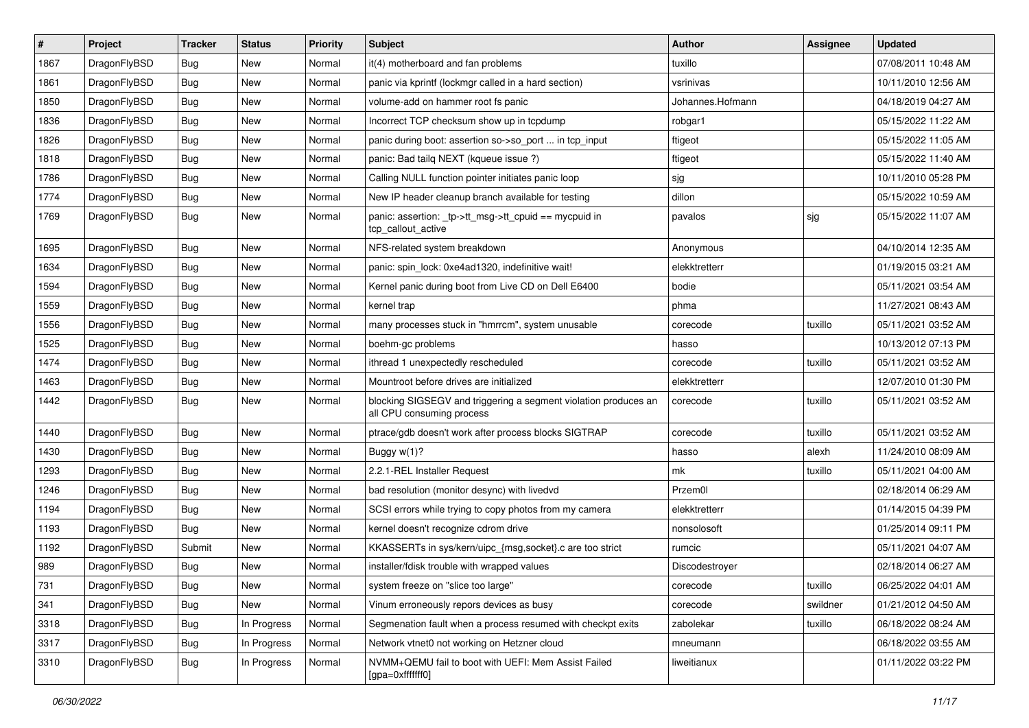| $\sharp$ | Project      | <b>Tracker</b> | <b>Status</b> | <b>Priority</b> | Subject                                                                                      | <b>Author</b>    | Assignee | <b>Updated</b>      |
|----------|--------------|----------------|---------------|-----------------|----------------------------------------------------------------------------------------------|------------------|----------|---------------------|
| 1867     | DragonFlyBSD | <b>Bug</b>     | New           | Normal          | it(4) motherboard and fan problems                                                           | tuxillo          |          | 07/08/2011 10:48 AM |
| 1861     | DragonFlyBSD | Bug            | <b>New</b>    | Normal          | panic via kprintf (lockmgr called in a hard section)                                         | vsrinivas        |          | 10/11/2010 12:56 AM |
| 1850     | DragonFlyBSD | <b>Bug</b>     | New           | Normal          | volume-add on hammer root fs panic                                                           | Johannes.Hofmann |          | 04/18/2019 04:27 AM |
| 1836     | DragonFlyBSD | <b>Bug</b>     | New           | Normal          | Incorrect TCP checksum show up in tcpdump                                                    | robgar1          |          | 05/15/2022 11:22 AM |
| 1826     | DragonFlyBSD | Bug            | <b>New</b>    | Normal          | panic during boot: assertion so->so_port  in tcp_input                                       | ftigeot          |          | 05/15/2022 11:05 AM |
| 1818     | DragonFlyBSD | Bug            | New           | Normal          | panic: Bad tailq NEXT (kqueue issue ?)                                                       | ftigeot          |          | 05/15/2022 11:40 AM |
| 1786     | DragonFlyBSD | Bug            | <b>New</b>    | Normal          | Calling NULL function pointer initiates panic loop                                           | sjg              |          | 10/11/2010 05:28 PM |
| 1774     | DragonFlyBSD | <b>Bug</b>     | <b>New</b>    | Normal          | New IP header cleanup branch available for testing                                           | dillon           |          | 05/15/2022 10:59 AM |
| 1769     | DragonFlyBSD | <b>Bug</b>     | New           | Normal          | panic: assertion: _tp->tt_msg->tt_cpuid == mycpuid in<br>tcp callout active                  | pavalos          | sjg      | 05/15/2022 11:07 AM |
| 1695     | DragonFlyBSD | Bug            | <b>New</b>    | Normal          | NFS-related system breakdown                                                                 | Anonymous        |          | 04/10/2014 12:35 AM |
| 1634     | DragonFlyBSD | <b>Bug</b>     | New           | Normal          | panic: spin lock: 0xe4ad1320, indefinitive wait!                                             | elekktretterr    |          | 01/19/2015 03:21 AM |
| 1594     | DragonFlyBSD | <b>Bug</b>     | New           | Normal          | Kernel panic during boot from Live CD on Dell E6400                                          | bodie            |          | 05/11/2021 03:54 AM |
| 1559     | DragonFlyBSD | <b>Bug</b>     | New           | Normal          | kernel trap                                                                                  | phma             |          | 11/27/2021 08:43 AM |
| 1556     | DragonFlyBSD | Bug            | New           | Normal          | many processes stuck in "hmrrcm", system unusable                                            | corecode         | tuxillo  | 05/11/2021 03:52 AM |
| 1525     | DragonFlyBSD | Bug            | <b>New</b>    | Normal          | boehm-gc problems                                                                            | hasso            |          | 10/13/2012 07:13 PM |
| 1474     | DragonFlyBSD | Bug            | <b>New</b>    | Normal          | ithread 1 unexpectedly rescheduled                                                           | corecode         | tuxillo  | 05/11/2021 03:52 AM |
| 1463     | DragonFlyBSD | Bug            | <b>New</b>    | Normal          | Mountroot before drives are initialized                                                      | elekktretterr    |          | 12/07/2010 01:30 PM |
| 1442     | DragonFlyBSD | Bug            | New           | Normal          | blocking SIGSEGV and triggering a segment violation produces an<br>all CPU consuming process | corecode         | tuxillo  | 05/11/2021 03:52 AM |
| 1440     | DragonFlyBSD | Bug            | New           | Normal          | ptrace/gdb doesn't work after process blocks SIGTRAP                                         | corecode         | tuxillo  | 05/11/2021 03:52 AM |
| 1430     | DragonFlyBSD | Bug            | <b>New</b>    | Normal          | Buggy $w(1)$ ?                                                                               | hasso            | alexh    | 11/24/2010 08:09 AM |
| 1293     | DragonFlyBSD | Bug            | <b>New</b>    | Normal          | 2.2.1-REL Installer Request                                                                  | mk               | tuxillo  | 05/11/2021 04:00 AM |
| 1246     | DragonFlyBSD | Bug            | New           | Normal          | bad resolution (monitor desync) with livedvd                                                 | Przem0l          |          | 02/18/2014 06:29 AM |
| 1194     | DragonFlyBSD | Bug            | <b>New</b>    | Normal          | SCSI errors while trying to copy photos from my camera                                       | elekktretterr    |          | 01/14/2015 04:39 PM |
| 1193     | DragonFlyBSD | Bug            | New           | Normal          | kernel doesn't recognize cdrom drive                                                         | nonsolosoft      |          | 01/25/2014 09:11 PM |
| 1192     | DragonFlyBSD | Submit         | <b>New</b>    | Normal          | KKASSERTs in sys/kern/uipc_{msg,socket}.c are too strict                                     | rumcic           |          | 05/11/2021 04:07 AM |
| 989      | DragonFlyBSD | Bug            | New           | Normal          | installer/fdisk trouble with wrapped values                                                  | Discodestroyer   |          | 02/18/2014 06:27 AM |
| 731      | DragonFlyBSD | <b>Bug</b>     | <b>New</b>    | Normal          | system freeze on "slice too large"                                                           | corecode         | tuxillo  | 06/25/2022 04:01 AM |
| 341      | DragonFlyBSD | <b>Bug</b>     | New           | Normal          | Vinum erroneously repors devices as busy                                                     | corecode         | swildner | 01/21/2012 04:50 AM |
| 3318     | DragonFlyBSD | <b>Bug</b>     | In Progress   | Normal          | Segmenation fault when a process resumed with checkpt exits                                  | zabolekar        | tuxillo  | 06/18/2022 08:24 AM |
| 3317     | DragonFlyBSD | <b>Bug</b>     | In Progress   | Normal          | Network vtnet0 not working on Hetzner cloud                                                  | mneumann         |          | 06/18/2022 03:55 AM |
| 3310     | DragonFlyBSD | <b>Bug</b>     | In Progress   | Normal          | NVMM+QEMU fail to boot with UEFI: Mem Assist Failed<br>[gpa=0xfffffff0]                      | liweitianux      |          | 01/11/2022 03:22 PM |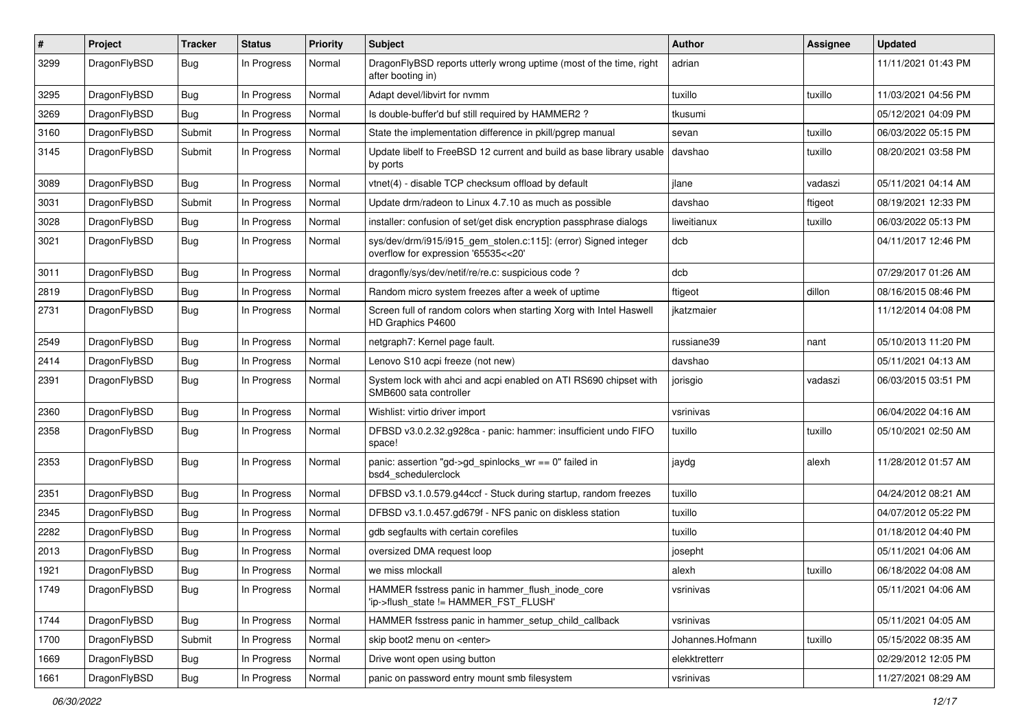| #    | Project      | <b>Tracker</b> | <b>Status</b> | <b>Priority</b> | Subject                                                                                                | Author           | Assignee | <b>Updated</b>      |
|------|--------------|----------------|---------------|-----------------|--------------------------------------------------------------------------------------------------------|------------------|----------|---------------------|
| 3299 | DragonFlyBSD | <b>Bug</b>     | In Progress   | Normal          | DragonFlyBSD reports utterly wrong uptime (most of the time, right<br>after booting in)                | adrian           |          | 11/11/2021 01:43 PM |
| 3295 | DragonFlyBSD | <b>Bug</b>     | In Progress   | Normal          | Adapt devel/libvirt for nvmm                                                                           | tuxillo          | tuxillo  | 11/03/2021 04:56 PM |
| 3269 | DragonFlyBSD | <b>Bug</b>     | In Progress   | Normal          | Is double-buffer'd buf still required by HAMMER2?                                                      | tkusumi          |          | 05/12/2021 04:09 PM |
| 3160 | DragonFlyBSD | Submit         | In Progress   | Normal          | State the implementation difference in pkill/pgrep manual                                              | sevan            | tuxillo  | 06/03/2022 05:15 PM |
| 3145 | DragonFlyBSD | Submit         | In Progress   | Normal          | Update libelf to FreeBSD 12 current and build as base library usable<br>by ports                       | davshao          | tuxillo  | 08/20/2021 03:58 PM |
| 3089 | DragonFlyBSD | Bug            | In Progress   | Normal          | vtnet(4) - disable TCP checksum offload by default                                                     | jlane            | vadaszi  | 05/11/2021 04:14 AM |
| 3031 | DragonFlyBSD | Submit         | In Progress   | Normal          | Update drm/radeon to Linux 4.7.10 as much as possible                                                  | davshao          | ftigeot  | 08/19/2021 12:33 PM |
| 3028 | DragonFlyBSD | <b>Bug</b>     | In Progress   | Normal          | installer: confusion of set/get disk encryption passphrase dialogs                                     | liweitianux      | tuxillo  | 06/03/2022 05:13 PM |
| 3021 | DragonFlyBSD | <b>Bug</b>     | In Progress   | Normal          | sys/dev/drm/i915/i915_gem_stolen.c:115]: (error) Signed integer<br>overflow for expression '65535<<20' | dcb              |          | 04/11/2017 12:46 PM |
| 3011 | DragonFlyBSD | <b>Bug</b>     | In Progress   | Normal          | dragonfly/sys/dev/netif/re/re.c: suspicious code?                                                      | dcb              |          | 07/29/2017 01:26 AM |
| 2819 | DragonFlyBSD | <b>Bug</b>     | In Progress   | Normal          | Random micro system freezes after a week of uptime                                                     | ftigeot          | dillon   | 08/16/2015 08:46 PM |
| 2731 | DragonFlyBSD | <b>Bug</b>     | In Progress   | Normal          | Screen full of random colors when starting Xorg with Intel Haswell<br>HD Graphics P4600                | jkatzmaier       |          | 11/12/2014 04:08 PM |
| 2549 | DragonFlyBSD | <b>Bug</b>     | In Progress   | Normal          | netgraph7: Kernel page fault.                                                                          | russiane39       | nant     | 05/10/2013 11:20 PM |
| 2414 | DragonFlyBSD | <b>Bug</b>     | In Progress   | Normal          | Lenovo S10 acpi freeze (not new)                                                                       | davshao          |          | 05/11/2021 04:13 AM |
| 2391 | DragonFlyBSD | <b>Bug</b>     | In Progress   | Normal          | System lock with ahci and acpi enabled on ATI RS690 chipset with<br>SMB600 sata controller             | jorisgio         | vadaszi  | 06/03/2015 03:51 PM |
| 2360 | DragonFlyBSD | Bug            | In Progress   | Normal          | Wishlist: virtio driver import                                                                         | vsrinivas        |          | 06/04/2022 04:16 AM |
| 2358 | DragonFlyBSD | <b>Bug</b>     | In Progress   | Normal          | DFBSD v3.0.2.32.g928ca - panic: hammer: insufficient undo FIFO<br>space!                               | tuxillo          | tuxillo  | 05/10/2021 02:50 AM |
| 2353 | DragonFlyBSD | <b>Bug</b>     | In Progress   | Normal          | panic: assertion "gd->gd_spinlocks_wr == 0" failed in<br>bsd4_schedulerclock                           | jaydg            | alexh    | 11/28/2012 01:57 AM |
| 2351 | DragonFlyBSD | <b>Bug</b>     | In Progress   | Normal          | DFBSD v3.1.0.579.g44ccf - Stuck during startup, random freezes                                         | tuxillo          |          | 04/24/2012 08:21 AM |
| 2345 | DragonFlyBSD | <b>Bug</b>     | In Progress   | Normal          | DFBSD v3.1.0.457.gd679f - NFS panic on diskless station                                                | tuxillo          |          | 04/07/2012 05:22 PM |
| 2282 | DragonFlyBSD | <b>Bug</b>     | In Progress   | Normal          | gdb segfaults with certain corefiles                                                                   | tuxillo          |          | 01/18/2012 04:40 PM |
| 2013 | DragonFlyBSD | <b>Bug</b>     | In Progress   | Normal          | oversized DMA request loop                                                                             | josepht          |          | 05/11/2021 04:06 AM |
| 1921 | DragonFlyBSD | Bug            | In Progress   | Normal          | we miss mlockall                                                                                       | alexh            | tuxillo  | 06/18/2022 04:08 AM |
| 1749 | DragonFlyBSD | <b>Bug</b>     | In Progress   | Normal          | HAMMER fsstress panic in hammer_flush_inode_core<br>'ip->flush state != HAMMER FST FLUSH'              | vsrinivas        |          | 05/11/2021 04:06 AM |
| 1744 | DragonFlyBSD | <b>Bug</b>     | In Progress   | Normal          | HAMMER fsstress panic in hammer_setup_child_callback                                                   | vsrinivas        |          | 05/11/2021 04:05 AM |
| 1700 | DragonFlyBSD | Submit         | In Progress   | Normal          | skip boot2 menu on <enter></enter>                                                                     | Johannes.Hofmann | tuxillo  | 05/15/2022 08:35 AM |
| 1669 | DragonFlyBSD | <b>Bug</b>     | In Progress   | Normal          | Drive wont open using button                                                                           | elekktretterr    |          | 02/29/2012 12:05 PM |
| 1661 | DragonFlyBSD | <b>Bug</b>     | In Progress   | Normal          | panic on password entry mount smb filesystem                                                           | vsrinivas        |          | 11/27/2021 08:29 AM |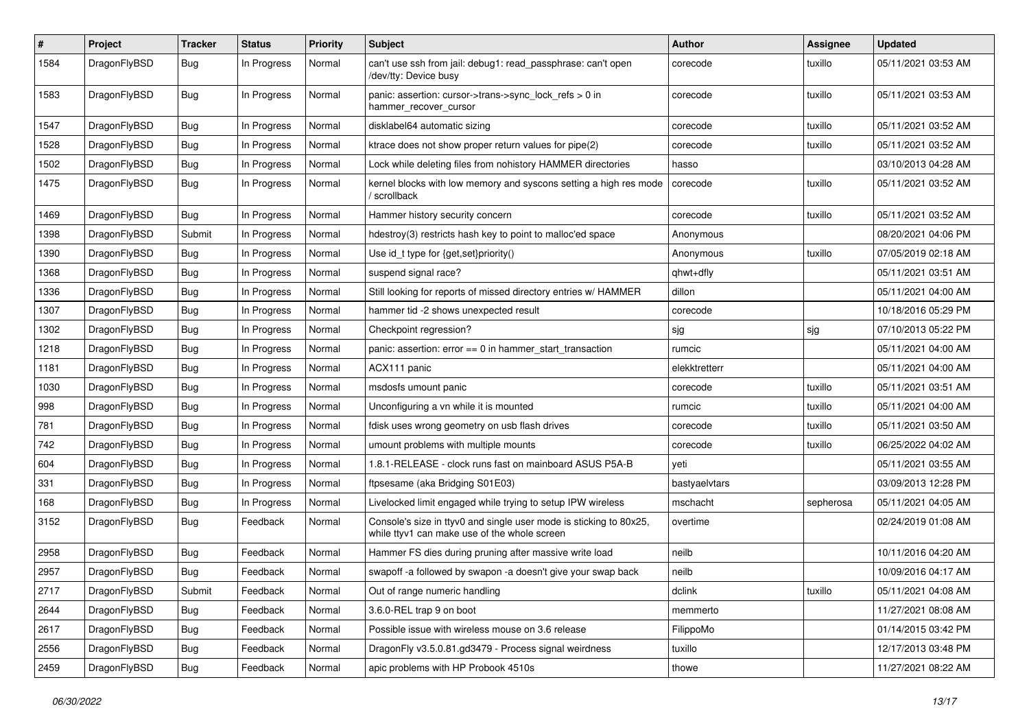| $\#$ | Project      | <b>Tracker</b> | <b>Status</b> | <b>Priority</b> | Subject                                                                                                            | <b>Author</b> | <b>Assignee</b> | <b>Updated</b>      |
|------|--------------|----------------|---------------|-----------------|--------------------------------------------------------------------------------------------------------------------|---------------|-----------------|---------------------|
| 1584 | DragonFlyBSD | <b>Bug</b>     | In Progress   | Normal          | can't use ssh from jail: debug1: read_passphrase: can't open<br>/dev/tty: Device busy                              | corecode      | tuxillo         | 05/11/2021 03:53 AM |
| 1583 | DragonFlyBSD | <b>Bug</b>     | In Progress   | Normal          | panic: assertion: cursor->trans->sync_lock_refs > 0 in<br>hammer_recover_cursor                                    | corecode      | tuxillo         | 05/11/2021 03:53 AM |
| 1547 | DragonFlyBSD | <b>Bug</b>     | In Progress   | Normal          | disklabel64 automatic sizing                                                                                       | corecode      | tuxillo         | 05/11/2021 03:52 AM |
| 1528 | DragonFlyBSD | Bug            | In Progress   | Normal          | ktrace does not show proper return values for pipe(2)                                                              | corecode      | tuxillo         | 05/11/2021 03:52 AM |
| 1502 | DragonFlyBSD | Bug            | In Progress   | Normal          | Lock while deleting files from nohistory HAMMER directories                                                        | hasso         |                 | 03/10/2013 04:28 AM |
| 1475 | DragonFlyBSD | Bug            | In Progress   | Normal          | kernel blocks with low memory and syscons setting a high res mode<br>/ scrollback                                  | corecode      | tuxillo         | 05/11/2021 03:52 AM |
| 1469 | DragonFlyBSD | <b>Bug</b>     | In Progress   | Normal          | Hammer history security concern                                                                                    | corecode      | tuxillo         | 05/11/2021 03:52 AM |
| 1398 | DragonFlyBSD | Submit         | In Progress   | Normal          | hdestroy(3) restricts hash key to point to malloc'ed space                                                         | Anonymous     |                 | 08/20/2021 04:06 PM |
| 1390 | DragonFlyBSD | Bug            | In Progress   | Normal          | Use id_t type for {get,set}priority()                                                                              | Anonymous     | tuxillo         | 07/05/2019 02:18 AM |
| 1368 | DragonFlyBSD | Bug            | In Progress   | Normal          | suspend signal race?                                                                                               | qhwt+dfly     |                 | 05/11/2021 03:51 AM |
| 1336 | DragonFlyBSD | Bug            | In Progress   | Normal          | Still looking for reports of missed directory entries w/ HAMMER                                                    | dillon        |                 | 05/11/2021 04:00 AM |
| 1307 | DragonFlyBSD | Bug            | In Progress   | Normal          | hammer tid -2 shows unexpected result                                                                              | corecode      |                 | 10/18/2016 05:29 PM |
| 1302 | DragonFlyBSD | Bug            | In Progress   | Normal          | Checkpoint regression?                                                                                             | sjg           | sjg             | 07/10/2013 05:22 PM |
| 1218 | DragonFlyBSD | Bug            | In Progress   | Normal          | panic: assertion: error == 0 in hammer_start_transaction                                                           | rumcic        |                 | 05/11/2021 04:00 AM |
| 1181 | DragonFlyBSD | Bug            | In Progress   | Normal          | ACX111 panic                                                                                                       | elekktretterr |                 | 05/11/2021 04:00 AM |
| 1030 | DragonFlyBSD | Bug            | In Progress   | Normal          | msdosfs umount panic                                                                                               | corecode      | tuxillo         | 05/11/2021 03:51 AM |
| 998  | DragonFlyBSD | Bug            | In Progress   | Normal          | Unconfiguring a vn while it is mounted                                                                             | rumcic        | tuxillo         | 05/11/2021 04:00 AM |
| 781  | DragonFlyBSD | Bug            | In Progress   | Normal          | fdisk uses wrong geometry on usb flash drives                                                                      | corecode      | tuxillo         | 05/11/2021 03:50 AM |
| 742  | DragonFlyBSD | Bug            | In Progress   | Normal          | umount problems with multiple mounts                                                                               | corecode      | tuxillo         | 06/25/2022 04:02 AM |
| 604  | DragonFlyBSD | Bug            | In Progress   | Normal          | 1.8.1-RELEASE - clock runs fast on mainboard ASUS P5A-B                                                            | yeti          |                 | 05/11/2021 03:55 AM |
| 331  | DragonFlyBSD | <b>Bug</b>     | In Progress   | Normal          | ftpsesame (aka Bridging S01E03)                                                                                    | bastyaelvtars |                 | 03/09/2013 12:28 PM |
| 168  | DragonFlyBSD | <b>Bug</b>     | In Progress   | Normal          | Livelocked limit engaged while trying to setup IPW wireless                                                        | mschacht      | sepherosa       | 05/11/2021 04:05 AM |
| 3152 | DragonFlyBSD | <b>Bug</b>     | Feedback      | Normal          | Console's size in ttyv0 and single user mode is sticking to 80x25,<br>while ttyv1 can make use of the whole screen | overtime      |                 | 02/24/2019 01:08 AM |
| 2958 | DragonFlyBSD | <b>Bug</b>     | Feedback      | Normal          | Hammer FS dies during pruning after massive write load                                                             | neilb         |                 | 10/11/2016 04:20 AM |
| 2957 | DragonFlyBSD | <b>Bug</b>     | Feedback      | Normal          | swapoff -a followed by swapon -a doesn't give your swap back                                                       | neilb         |                 | 10/09/2016 04:17 AM |
| 2717 | DragonFlyBSD | Submit         | Feedback      | Normal          | Out of range numeric handling                                                                                      | dclink        | tuxillo         | 05/11/2021 04:08 AM |
| 2644 | DragonFlyBSD | <b>Bug</b>     | Feedback      | Normal          | 3.6.0-REL trap 9 on boot                                                                                           | memmerto      |                 | 11/27/2021 08:08 AM |
| 2617 | DragonFlyBSD | <b>Bug</b>     | Feedback      | Normal          | Possible issue with wireless mouse on 3.6 release                                                                  | FilippoMo     |                 | 01/14/2015 03:42 PM |
| 2556 | DragonFlyBSD | <b>Bug</b>     | Feedback      | Normal          | DragonFly v3.5.0.81.gd3479 - Process signal weirdness                                                              | tuxillo       |                 | 12/17/2013 03:48 PM |
| 2459 | DragonFlyBSD | <b>Bug</b>     | Feedback      | Normal          | apic problems with HP Probook 4510s                                                                                | thowe         |                 | 11/27/2021 08:22 AM |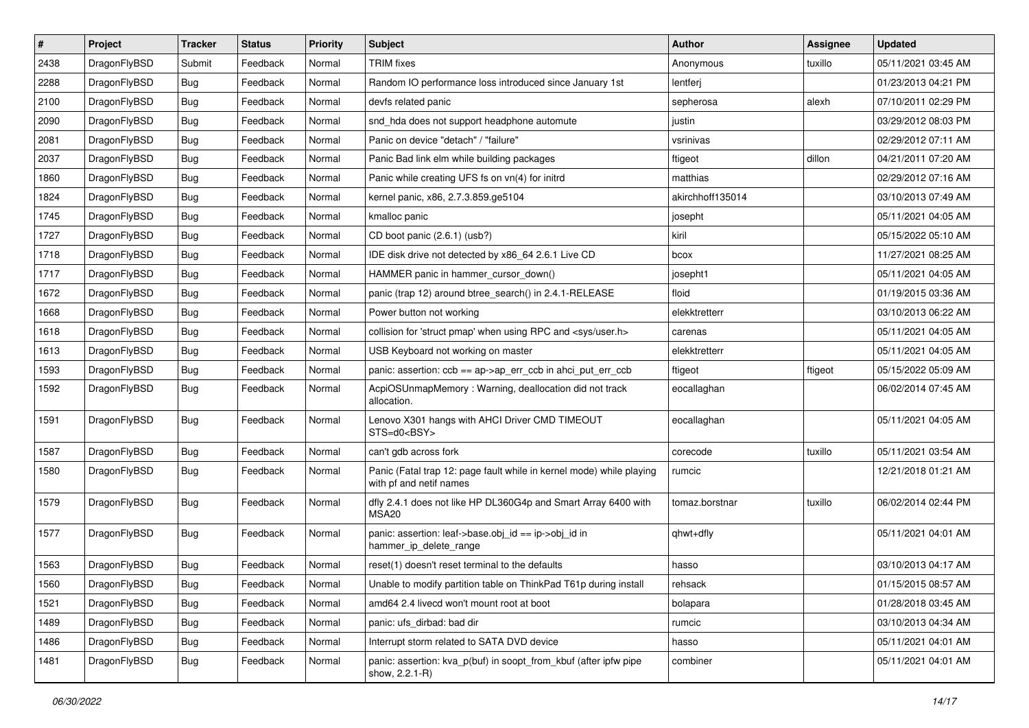| $\sharp$ | Project      | <b>Tracker</b> | <b>Status</b> | <b>Priority</b> | Subject                                                                                         | <b>Author</b>    | <b>Assignee</b> | <b>Updated</b>      |
|----------|--------------|----------------|---------------|-----------------|-------------------------------------------------------------------------------------------------|------------------|-----------------|---------------------|
| 2438     | DragonFlyBSD | Submit         | Feedback      | Normal          | <b>TRIM</b> fixes                                                                               | Anonymous        | tuxillo         | 05/11/2021 03:45 AM |
| 2288     | DragonFlyBSD | <b>Bug</b>     | Feedback      | Normal          | Random IO performance loss introduced since January 1st                                         | lentferj         |                 | 01/23/2013 04:21 PM |
| 2100     | DragonFlyBSD | <b>Bug</b>     | Feedback      | Normal          | devfs related panic                                                                             | sepherosa        | alexh           | 07/10/2011 02:29 PM |
| 2090     | DragonFlyBSD | <b>Bug</b>     | Feedback      | Normal          | snd_hda does not support headphone automute                                                     | justin           |                 | 03/29/2012 08:03 PM |
| 2081     | DragonFlyBSD | <b>Bug</b>     | Feedback      | Normal          | Panic on device "detach" / "failure"                                                            | vsrinivas        |                 | 02/29/2012 07:11 AM |
| 2037     | DragonFlyBSD | <b>Bug</b>     | Feedback      | Normal          | Panic Bad link elm while building packages                                                      | ftigeot          | dillon          | 04/21/2011 07:20 AM |
| 1860     | DragonFlyBSD | <b>Bug</b>     | Feedback      | Normal          | Panic while creating UFS fs on vn(4) for initrd                                                 | matthias         |                 | 02/29/2012 07:16 AM |
| 1824     | DragonFlyBSD | <b>Bug</b>     | Feedback      | Normal          | kernel panic, x86, 2.7.3.859.ge5104                                                             | akirchhoff135014 |                 | 03/10/2013 07:49 AM |
| 1745     | DragonFlyBSD | <b>Bug</b>     | Feedback      | Normal          | kmalloc panic                                                                                   | josepht          |                 | 05/11/2021 04:05 AM |
| 1727     | DragonFlyBSD | <b>Bug</b>     | Feedback      | Normal          | CD boot panic (2.6.1) (usb?)                                                                    | kiril            |                 | 05/15/2022 05:10 AM |
| 1718     | DragonFlyBSD | <b>Bug</b>     | Feedback      | Normal          | IDE disk drive not detected by x86_64 2.6.1 Live CD                                             | bcox             |                 | 11/27/2021 08:25 AM |
| 1717     | DragonFlyBSD | <b>Bug</b>     | Feedback      | Normal          | HAMMER panic in hammer cursor down()                                                            | josepht1         |                 | 05/11/2021 04:05 AM |
| 1672     | DragonFlyBSD | <b>Bug</b>     | Feedback      | Normal          | panic (trap 12) around btree_search() in 2.4.1-RELEASE                                          | floid            |                 | 01/19/2015 03:36 AM |
| 1668     | DragonFlyBSD | <b>Bug</b>     | Feedback      | Normal          | Power button not working                                                                        | elekktretterr    |                 | 03/10/2013 06:22 AM |
| 1618     | DragonFlyBSD | <b>Bug</b>     | Feedback      | Normal          | collision for 'struct pmap' when using RPC and <sys user.h=""></sys>                            | carenas          |                 | 05/11/2021 04:05 AM |
| 1613     | DragonFlyBSD | <b>Bug</b>     | Feedback      | Normal          | USB Keyboard not working on master                                                              | elekktretterr    |                 | 05/11/2021 04:05 AM |
| 1593     | DragonFlyBSD | <b>Bug</b>     | Feedback      | Normal          | panic: assertion: ccb == ap->ap_err_ccb in ahci_put_err_ccb                                     | ftigeot          | ftigeot         | 05/15/2022 05:09 AM |
| 1592     | DragonFlyBSD | <b>Bug</b>     | Feedback      | Normal          | AcpiOSUnmapMemory: Warning, deallocation did not track<br>allocation.                           | eocallaghan      |                 | 06/02/2014 07:45 AM |
| 1591     | DragonFlyBSD | Bug            | Feedback      | Normal          | Lenovo X301 hangs with AHCI Driver CMD TIMEOUT<br>STS=d0 <bsy></bsy>                            | eocallaghan      |                 | 05/11/2021 04:05 AM |
| 1587     | DragonFlyBSD | Bug            | Feedback      | Normal          | can't gdb across fork                                                                           | corecode         | tuxillo         | 05/11/2021 03:54 AM |
| 1580     | DragonFlyBSD | <b>Bug</b>     | Feedback      | Normal          | Panic (Fatal trap 12: page fault while in kernel mode) while playing<br>with pf and netif names | rumcic           |                 | 12/21/2018 01:21 AM |
| 1579     | DragonFlyBSD | Bug            | Feedback      | Normal          | dfly 2.4.1 does not like HP DL360G4p and Smart Array 6400 with<br>MSA20                         | tomaz.borstnar   | tuxillo         | 06/02/2014 02:44 PM |
| 1577     | DragonFlyBSD | Bug            | Feedback      | Normal          | panic: assertion: leaf->base.obj_id == ip->obj_id in<br>hammer_ip_delete_range                  | qhwt+dfly        |                 | 05/11/2021 04:01 AM |
| 1563     | DragonFlyBSD | <b>Bug</b>     | Feedback      | Normal          | reset(1) doesn't reset terminal to the defaults                                                 | hasso            |                 | 03/10/2013 04:17 AM |
| 1560     | DragonFlyBSD | <b>Bug</b>     | Feedback      | Normal          | Unable to modify partition table on ThinkPad T61p during install                                | rehsack          |                 | 01/15/2015 08:57 AM |
| 1521     | DragonFlyBSD | <b>Bug</b>     | Feedback      | Normal          | amd64 2.4 livecd won't mount root at boot                                                       | bolapara         |                 | 01/28/2018 03:45 AM |
| 1489     | DragonFlyBSD | <b>Bug</b>     | Feedback      | Normal          | panic: ufs dirbad: bad dir                                                                      | rumcic           |                 | 03/10/2013 04:34 AM |
| 1486     | DragonFlyBSD | <b>Bug</b>     | Feedback      | Normal          | Interrupt storm related to SATA DVD device                                                      | hasso            |                 | 05/11/2021 04:01 AM |
| 1481     | DragonFlyBSD | <b>Bug</b>     | Feedback      | Normal          | panic: assertion: kva_p(buf) in soopt_from_kbuf (after ipfw pipe<br>show, 2.2.1-R)              | combiner         |                 | 05/11/2021 04:01 AM |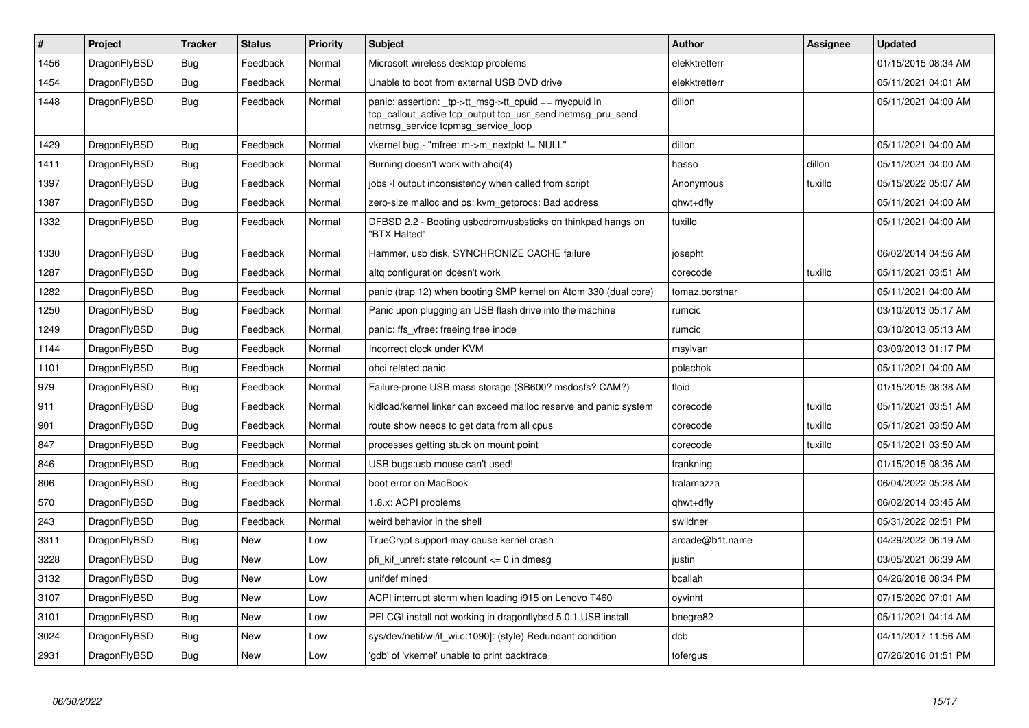| $\vert$ # | Project      | <b>Tracker</b> | <b>Status</b> | <b>Priority</b> | <b>Subject</b>                                                                                                                                            | <b>Author</b>   | Assignee | <b>Updated</b>      |
|-----------|--------------|----------------|---------------|-----------------|-----------------------------------------------------------------------------------------------------------------------------------------------------------|-----------------|----------|---------------------|
| 1456      | DragonFlyBSD | <b>Bug</b>     | Feedback      | Normal          | Microsoft wireless desktop problems                                                                                                                       | elekktretterr   |          | 01/15/2015 08:34 AM |
| 1454      | DragonFlyBSD | Bug            | Feedback      | Normal          | Unable to boot from external USB DVD drive                                                                                                                | elekktretterr   |          | 05/11/2021 04:01 AM |
| 1448      | DragonFlyBSD | <b>Bug</b>     | Feedback      | Normal          | panic: assertion: _tp->tt_msg->tt_cpuid == mycpuid in<br>tcp callout active tcp output tcp usr send netmsg pru send<br>netmsg_service tcpmsg_service_loop | dillon          |          | 05/11/2021 04:00 AM |
| 1429      | DragonFlyBSD | <b>Bug</b>     | Feedback      | Normal          | vkernel bug - "mfree: m->m_nextpkt != NULL"                                                                                                               | dillon          |          | 05/11/2021 04:00 AM |
| 1411      | DragonFlyBSD | <b>Bug</b>     | Feedback      | Normal          | Burning doesn't work with ahci(4)                                                                                                                         | hasso           | dillon   | 05/11/2021 04:00 AM |
| 1397      | DragonFlyBSD | Bug            | Feedback      | Normal          | jobs -I output inconsistency when called from script                                                                                                      | Anonymous       | tuxillo  | 05/15/2022 05:07 AM |
| 1387      | DragonFlyBSD | Bug            | Feedback      | Normal          | zero-size malloc and ps: kvm getprocs: Bad address                                                                                                        | qhwt+dfly       |          | 05/11/2021 04:00 AM |
| 1332      | DragonFlyBSD | <b>Bug</b>     | Feedback      | Normal          | DFBSD 2.2 - Booting usbcdrom/usbsticks on thinkpad hangs on<br>"BTX Halted"                                                                               | tuxillo         |          | 05/11/2021 04:00 AM |
| 1330      | DragonFlyBSD | <b>Bug</b>     | Feedback      | Normal          | Hammer, usb disk, SYNCHRONIZE CACHE failure                                                                                                               | josepht         |          | 06/02/2014 04:56 AM |
| 1287      | DragonFlyBSD | Bug            | Feedback      | Normal          | altg configuration doesn't work                                                                                                                           | corecode        | tuxillo  | 05/11/2021 03:51 AM |
| 1282      | DragonFlyBSD | <b>Bug</b>     | Feedback      | Normal          | panic (trap 12) when booting SMP kernel on Atom 330 (dual core)                                                                                           | tomaz.borstnar  |          | 05/11/2021 04:00 AM |
| 1250      | DragonFlyBSD | <b>Bug</b>     | Feedback      | Normal          | Panic upon plugging an USB flash drive into the machine                                                                                                   | rumcic          |          | 03/10/2013 05:17 AM |
| 1249      | DragonFlyBSD | <b>Bug</b>     | Feedback      | Normal          | panic: ffs vfree: freeing free inode                                                                                                                      | rumcic          |          | 03/10/2013 05:13 AM |
| 1144      | DragonFlyBSD | Bug            | Feedback      | Normal          | Incorrect clock under KVM                                                                                                                                 | msylvan         |          | 03/09/2013 01:17 PM |
| 1101      | DragonFlyBSD | Bug            | Feedback      | Normal          | ohci related panic                                                                                                                                        | polachok        |          | 05/11/2021 04:00 AM |
| 979       | DragonFlyBSD | <b>Bug</b>     | Feedback      | Normal          | Failure-prone USB mass storage (SB600? msdosfs? CAM?)                                                                                                     | floid           |          | 01/15/2015 08:38 AM |
| 911       | DragonFlyBSD | Bug            | Feedback      | Normal          | kldload/kernel linker can exceed malloc reserve and panic system                                                                                          | corecode        | tuxillo  | 05/11/2021 03:51 AM |
| 901       | DragonFlyBSD | <b>Bug</b>     | Feedback      | Normal          | route show needs to get data from all cpus                                                                                                                | corecode        | tuxillo  | 05/11/2021 03:50 AM |
| 847       | DragonFlyBSD | Bug            | Feedback      | Normal          | processes getting stuck on mount point                                                                                                                    | corecode        | tuxillo  | 05/11/2021 03:50 AM |
| 846       | DragonFlyBSD | <b>Bug</b>     | Feedback      | Normal          | USB bugs:usb mouse can't used!                                                                                                                            | frankning       |          | 01/15/2015 08:36 AM |
| 806       | DragonFlyBSD | <b>Bug</b>     | Feedback      | Normal          | boot error on MacBook                                                                                                                                     | tralamazza      |          | 06/04/2022 05:28 AM |
| 570       | DragonFlyBSD | <b>Bug</b>     | Feedback      | Normal          | 1.8.x: ACPI problems                                                                                                                                      | qhwt+dfly       |          | 06/02/2014 03:45 AM |
| 243       | DragonFlyBSD | <b>Bug</b>     | Feedback      | Normal          | weird behavior in the shell                                                                                                                               | swildner        |          | 05/31/2022 02:51 PM |
| 3311      | DragonFlyBSD | Bug            | New           | Low             | TrueCrypt support may cause kernel crash                                                                                                                  | arcade@b1t.name |          | 04/29/2022 06:19 AM |
| 3228      | DragonFlyBSD | <b>Bug</b>     | New           | Low             | pfi_kif_unref: state refcount <= 0 in dmesg                                                                                                               | justin          |          | 03/05/2021 06:39 AM |
| 3132      | DragonFlyBSD | Bug            | New           | Low             | unifdef mined                                                                                                                                             | bcallah         |          | 04/26/2018 08:34 PM |
| 3107      | DragonFlyBSD | <b>Bug</b>     | New           | Low             | ACPI interrupt storm when loading i915 on Lenovo T460                                                                                                     | oyvinht         |          | 07/15/2020 07:01 AM |
| 3101      | DragonFlyBSD | Bug            | New           | Low             | PFI CGI install not working in dragonflybsd 5.0.1 USB install                                                                                             | bnegre82        |          | 05/11/2021 04:14 AM |
| 3024      | DragonFlyBSD | Bug            | New           | Low             | sys/dev/netif/wi/if wi.c:1090]: (style) Redundant condition                                                                                               | dcb             |          | 04/11/2017 11:56 AM |
| 2931      | DragonFlyBSD | Bug            | New           | Low             | 'gdb' of 'vkernel' unable to print backtrace                                                                                                              | tofergus        |          | 07/26/2016 01:51 PM |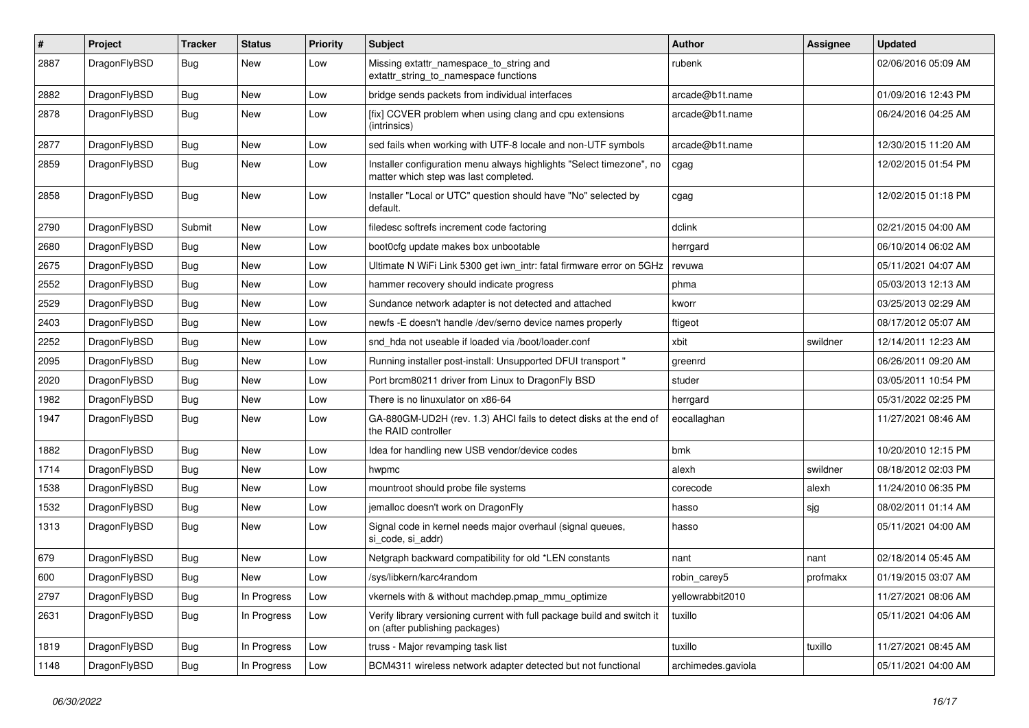| $\sharp$ | Project      | <b>Tracker</b> | <b>Status</b> | <b>Priority</b> | Subject                                                                                                       | <b>Author</b>      | <b>Assignee</b> | <b>Updated</b>      |
|----------|--------------|----------------|---------------|-----------------|---------------------------------------------------------------------------------------------------------------|--------------------|-----------------|---------------------|
| 2887     | DragonFlyBSD | <b>Bug</b>     | New           | Low             | Missing extattr_namespace_to_string and<br>extattr_string_to_namespace functions                              | rubenk             |                 | 02/06/2016 05:09 AM |
| 2882     | DragonFlyBSD | Bug            | New           | Low             | bridge sends packets from individual interfaces                                                               | arcade@b1t.name    |                 | 01/09/2016 12:43 PM |
| 2878     | DragonFlyBSD | <b>Bug</b>     | New           | Low             | [fix] CCVER problem when using clang and cpu extensions<br>(intrinsics)                                       | arcade@b1t.name    |                 | 06/24/2016 04:25 AM |
| 2877     | DragonFlyBSD | Bug            | <b>New</b>    | Low             | sed fails when working with UTF-8 locale and non-UTF symbols                                                  | arcade@b1t.name    |                 | 12/30/2015 11:20 AM |
| 2859     | DragonFlyBSD | Bug            | New           | Low             | Installer configuration menu always highlights "Select timezone", no<br>matter which step was last completed. | cgag               |                 | 12/02/2015 01:54 PM |
| 2858     | DragonFlyBSD | Bug            | New           | Low             | Installer "Local or UTC" question should have "No" selected by<br>default.                                    | cgag               |                 | 12/02/2015 01:18 PM |
| 2790     | DragonFlyBSD | Submit         | <b>New</b>    | Low             | filedesc softrefs increment code factoring                                                                    | dclink             |                 | 02/21/2015 04:00 AM |
| 2680     | DragonFlyBSD | <b>Bug</b>     | New           | Low             | boot0cfg update makes box unbootable                                                                          | herrgard           |                 | 06/10/2014 06:02 AM |
| 2675     | DragonFlyBSD | <b>Bug</b>     | New           | Low             | Ultimate N WiFi Link 5300 get iwn_intr: fatal firmware error on 5GHz                                          | revuwa             |                 | 05/11/2021 04:07 AM |
| 2552     | DragonFlyBSD | <b>Bug</b>     | <b>New</b>    | Low             | hammer recovery should indicate progress                                                                      | phma               |                 | 05/03/2013 12:13 AM |
| 2529     | DragonFlyBSD | Bug            | <b>New</b>    | Low             | Sundance network adapter is not detected and attached                                                         | kworr              |                 | 03/25/2013 02:29 AM |
| 2403     | DragonFlyBSD | <b>Bug</b>     | New           | Low             | newfs - E doesn't handle / dev/serno device names properly                                                    | ftigeot            |                 | 08/17/2012 05:07 AM |
| 2252     | DragonFlyBSD | <b>Bug</b>     | New           | Low             | snd hda not useable if loaded via /boot/loader.conf                                                           | xbit               | swildner        | 12/14/2011 12:23 AM |
| 2095     | DragonFlyBSD | Bug            | <b>New</b>    | Low             | Running installer post-install: Unsupported DFUI transport "                                                  | greenrd            |                 | 06/26/2011 09:20 AM |
| 2020     | DragonFlyBSD | <b>Bug</b>     | New           | Low             | Port brcm80211 driver from Linux to DragonFly BSD                                                             | studer             |                 | 03/05/2011 10:54 PM |
| 1982     | DragonFlyBSD | Bug            | New           | Low             | There is no linuxulator on x86-64                                                                             | herrgard           |                 | 05/31/2022 02:25 PM |
| 1947     | DragonFlyBSD | <b>Bug</b>     | <b>New</b>    | Low             | GA-880GM-UD2H (rev. 1.3) AHCI fails to detect disks at the end of<br>the RAID controller                      | eocallaghan        |                 | 11/27/2021 08:46 AM |
| 1882     | DragonFlyBSD | Bug            | <b>New</b>    | Low             | Idea for handling new USB vendor/device codes                                                                 | bmk                |                 | 10/20/2010 12:15 PM |
| 1714     | DragonFlyBSD | <b>Bug</b>     | New           | Low             | hwpmc                                                                                                         | alexh              | swildner        | 08/18/2012 02:03 PM |
| 1538     | DragonFlyBSD | <b>Bug</b>     | New           | Low             | mountroot should probe file systems                                                                           | corecode           | alexh           | 11/24/2010 06:35 PM |
| 1532     | DragonFlyBSD | <b>Bug</b>     | <b>New</b>    | Low             | jemalloc doesn't work on DragonFly                                                                            | hasso              | sjg             | 08/02/2011 01:14 AM |
| 1313     | DragonFlyBSD | <b>Bug</b>     | New           | Low             | Signal code in kernel needs major overhaul (signal queues,<br>si_code, si_addr)                               | hasso              |                 | 05/11/2021 04:00 AM |
| 679      | DragonFlyBSD | <b>Bug</b>     | New           | Low             | Netgraph backward compatibility for old *LEN constants                                                        | nant               | nant            | 02/18/2014 05:45 AM |
| 600      | DragonFlyBSD | Bug            | <b>New</b>    | Low             | /sys/libkern/karc4random                                                                                      | robin carev5       | profmakx        | 01/19/2015 03:07 AM |
| 2797     | DragonFlyBSD | <b>Bug</b>     | In Progress   | Low             | vkernels with & without machdep.pmap_mmu_optimize                                                             | yellowrabbit2010   |                 | 11/27/2021 08:06 AM |
| 2631     | DragonFlyBSD | <b>Bug</b>     | In Progress   | Low             | Verify library versioning current with full package build and switch it<br>on (after publishing packages)     | tuxillo            |                 | 05/11/2021 04:06 AM |
| 1819     | DragonFlyBSD | Bug            | In Progress   | Low             | truss - Major revamping task list                                                                             | tuxillo            | tuxillo         | 11/27/2021 08:45 AM |
| 1148     | DragonFlyBSD | <b>Bug</b>     | In Progress   | Low             | BCM4311 wireless network adapter detected but not functional                                                  | archimedes.gaviola |                 | 05/11/2021 04:00 AM |